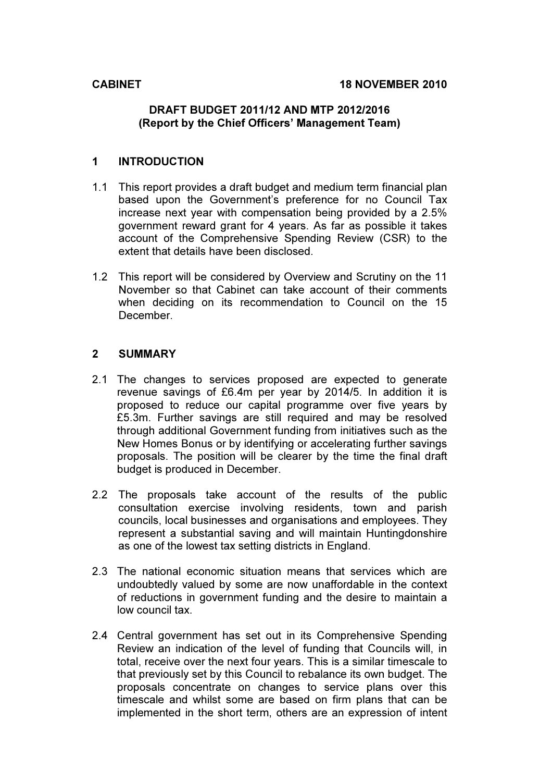#### DRAFT BUDGET 2011/12 AND MTP 2012/2016 (Report by the Chief Officers' Management Team)

### 1 INTRODUCTION

- 1.1 This report provides a draft budget and medium term financial plan based upon the Government's preference for no Council Tax increase next year with compensation being provided by a 2.5% government reward grant for 4 years. As far as possible it takes account of the Comprehensive Spending Review (CSR) to the extent that details have been disclosed.
- 1.2 This report will be considered by Overview and Scrutiny on the 11 November so that Cabinet can take account of their comments when deciding on its recommendation to Council on the 15 December.

#### 2 SUMMARY

- 2.1 The changes to services proposed are expected to generate revenue savings of £6.4m per year by 2014/5. In addition it is proposed to reduce our capital programme over five years by £5.3m. Further savings are still required and may be resolved through additional Government funding from initiatives such as the New Homes Bonus or by identifying or accelerating further savings proposals. The position will be clearer by the time the final draft budget is produced in December.
- 2.2 The proposals take account of the results of the public consultation exercise involving residents, town and parish councils, local businesses and organisations and employees. They represent a substantial saving and will maintain Huntingdonshire as one of the lowest tax setting districts in England.
- 2.3 The national economic situation means that services which are undoubtedly valued by some are now unaffordable in the context of reductions in government funding and the desire to maintain a low council tax.
- 2.4 Central government has set out in its Comprehensive Spending Review an indication of the level of funding that Councils will, in total, receive over the next four years. This is a similar timescale to that previously set by this Council to rebalance its own budget. The proposals concentrate on changes to service plans over this timescale and whilst some are based on firm plans that can be implemented in the short term, others are an expression of intent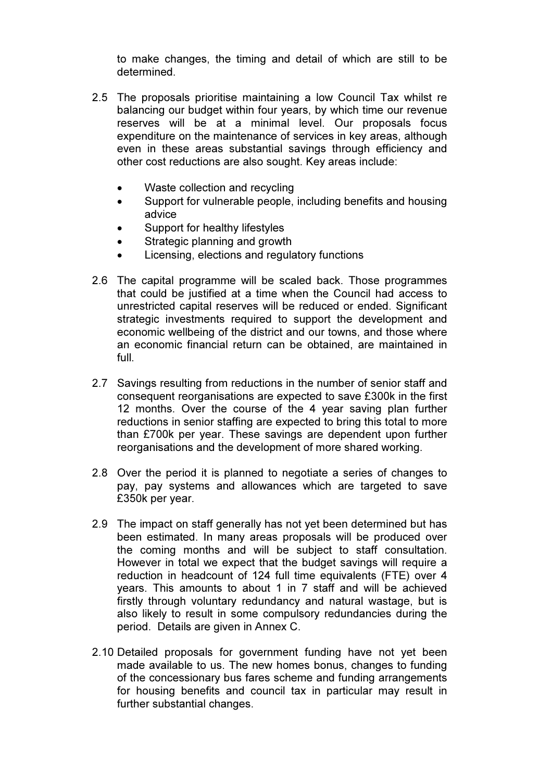to make changes, the timing and detail of which are still to be determined.

- 2.5 The proposals prioritise maintaining a low Council Tax whilst re balancing our budget within four years, by which time our revenue reserves will be at a minimal level. Our proposals focus expenditure on the maintenance of services in key areas, although even in these areas substantial savings through efficiency and other cost reductions are also sought. Key areas include:
	- Waste collection and recycling
	- Support for vulnerable people, including benefits and housing advice
	- Support for healthy lifestyles
	- Strategic planning and growth
	- Licensing, elections and regulatory functions
- 2.6 The capital programme will be scaled back. Those programmes that could be justified at a time when the Council had access to unrestricted capital reserves will be reduced or ended. Significant strategic investments required to support the development and economic wellbeing of the district and our towns, and those where an economic financial return can be obtained, are maintained in full.
- 2.7 Savings resulting from reductions in the number of senior staff and consequent reorganisations are expected to save £300k in the first 12 months. Over the course of the 4 year saving plan further reductions in senior staffing are expected to bring this total to more than £700k per year. These savings are dependent upon further reorganisations and the development of more shared working.
- 2.8 Over the period it is planned to negotiate a series of changes to pay, pay systems and allowances which are targeted to save £350k per year.
- 2.9 The impact on staff generally has not yet been determined but has been estimated. In many areas proposals will be produced over the coming months and will be subject to staff consultation. However in total we expect that the budget savings will require a reduction in headcount of 124 full time equivalents (FTE) over 4 years. This amounts to about 1 in 7 staff and will be achieved firstly through voluntary redundancy and natural wastage, but is also likely to result in some compulsory redundancies during the period. Details are given in Annex C.
- 2.10 Detailed proposals for government funding have not yet been made available to us. The new homes bonus, changes to funding of the concessionary bus fares scheme and funding arrangements for housing benefits and council tax in particular may result in further substantial changes.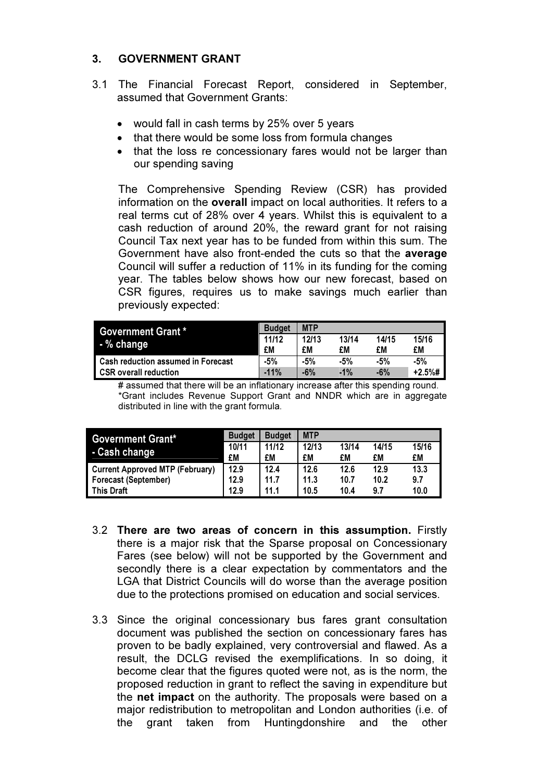### 3. GOVERNMENT GRANT

- 3.1 The Financial Forecast Report, considered in September, assumed that Government Grants:
	- would fall in cash terms by 25% over 5 years
	- that there would be some loss from formula changes
	- that the loss re concessionary fares would not be larger than our spending saving

The Comprehensive Spending Review (CSR) has provided information on the overall impact on local authorities. It refers to a real terms cut of 28% over 4 years. Whilst this is equivalent to a cash reduction of around 20%, the reward grant for not raising Council Tax next year has to be funded from within this sum. The Government have also front-ended the cuts so that the average Council will suffer a reduction of 11% in its funding for the coming year. The tables below shows how our new forecast, based on CSR figures, requires us to make savings much earlier than previously expected:

| <b>Government Grant *</b>          | <b>Budget</b> | <b>MTP</b> |        |       |           |
|------------------------------------|---------------|------------|--------|-------|-----------|
| - % change                         | 11/12         | 12/13      | 13/14  | 14/15 | 15/16     |
|                                    | £M            | £M         | £M     | £M    | £M        |
| Cash reduction assumed in Forecast | -5%           | $-5%$      | -5%    | $-5%$ | -5%       |
| <b>CSR</b> overall reduction       | $-11%$        | $-6%$      | $-1\%$ | $-6%$ | $+2.5%$ # |

# assumed that there will be an inflationary increase after this spending round. \*Grant includes Revenue Support Grant and NNDR which are in aggregate distributed in line with the grant formula.

| <b>Government Grant*</b>               | <b>Budget</b> | <b>Budget</b> | <b>MTP</b> |       |       |       |
|----------------------------------------|---------------|---------------|------------|-------|-------|-------|
|                                        | 10/11         | 11/12         | 12/13      | 13/14 | 14/15 | 15/16 |
| <b>Cash change</b>                     | £M            | £M            | £M         | £M    | £M    | £M    |
| <b>Current Approved MTP (February)</b> | 12.9          | 12.4          | 12.6       | 12.6  | 12.9  | 13.3  |
| <b>Forecast (September)</b>            | 12.9          | 11.7          | 11.3       | 10.7  | 10.2  | 9.7   |
| <b>This Draft</b>                      | 12.9          | 11.1          | 10.5       | 10.4  | 9.7   | 10.0  |

- 3.2 There are two areas of concern in this assumption. Firstly there is a major risk that the Sparse proposal on Concessionary Fares (see below) will not be supported by the Government and secondly there is a clear expectation by commentators and the LGA that District Councils will do worse than the average position due to the protections promised on education and social services.
- 3.3 Since the original concessionary bus fares grant consultation document was published the section on concessionary fares has proven to be badly explained, very controversial and flawed. As a result, the DCLG revised the exemplifications. In so doing, it become clear that the figures quoted were not, as is the norm, the proposed reduction in grant to reflect the saving in expenditure but the net impact on the authority. The proposals were based on a major redistribution to metropolitan and London authorities (i.e. of the grant taken from Huntingdonshire and the other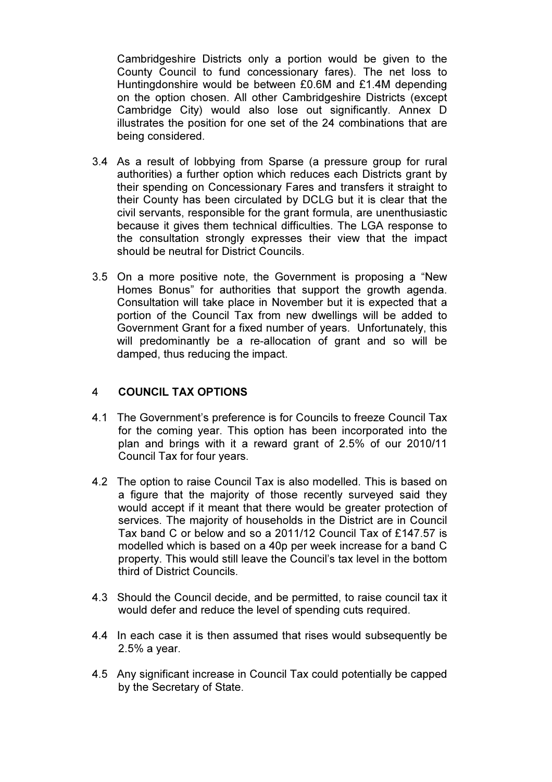Cambridgeshire Districts only a portion would be given to the County Council to fund concessionary fares). The net loss to Huntingdonshire would be between £0.6M and £1.4M depending on the option chosen. All other Cambridgeshire Districts (except Cambridge City) would also lose out significantly. Annex D illustrates the position for one set of the 24 combinations that are being considered.

- 3.4 As a result of lobbying from Sparse (a pressure group for rural authorities) a further option which reduces each Districts grant by their spending on Concessionary Fares and transfers it straight to their County has been circulated by DCLG but it is clear that the civil servants, responsible for the grant formula, are unenthusiastic because it gives them technical difficulties. The LGA response to the consultation strongly expresses their view that the impact should be neutral for District Councils.
- 3.5 On a more positive note, the Government is proposing a "New Homes Bonus" for authorities that support the growth agenda. Consultation will take place in November but it is expected that a portion of the Council Tax from new dwellings will be added to Government Grant for a fixed number of years. Unfortunately, this will predominantly be a re-allocation of grant and so will be damped, thus reducing the impact.

#### 4 COUNCIL TAX OPTIONS

- 4.1 The Government's preference is for Councils to freeze Council Tax for the coming year. This option has been incorporated into the plan and brings with it a reward grant of 2.5% of our 2010/11 Council Tax for four years.
- 4.2 The option to raise Council Tax is also modelled. This is based on a figure that the majority of those recently surveyed said they would accept if it meant that there would be greater protection of services. The majority of households in the District are in Council Tax band C or below and so a 2011/12 Council Tax of £147.57 is modelled which is based on a 40p per week increase for a band C property. This would still leave the Council's tax level in the bottom third of District Councils.
- 4.3 Should the Council decide, and be permitted, to raise council tax it would defer and reduce the level of spending cuts required.
- 4.4 In each case it is then assumed that rises would subsequently be 2.5% a year.
- 4.5 Any significant increase in Council Tax could potentially be capped by the Secretary of State.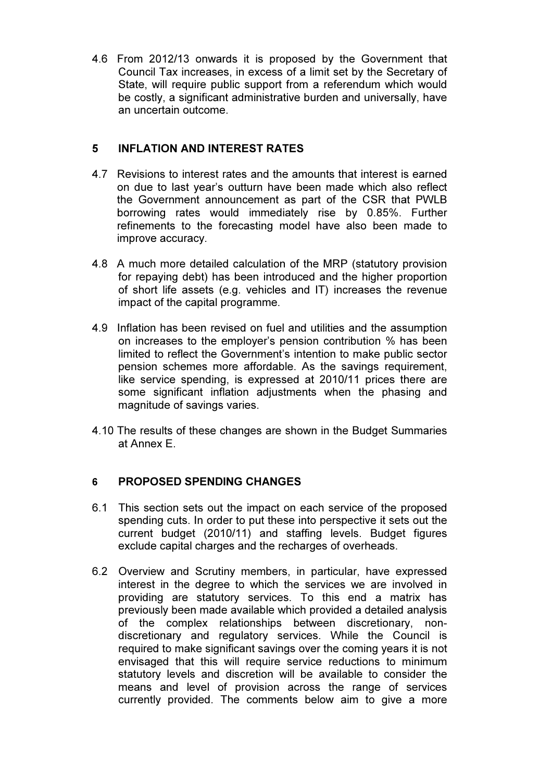4.6 From 2012/13 onwards it is proposed by the Government that Council Tax increases, in excess of a limit set by the Secretary of State, will require public support from a referendum which would be costly, a significant administrative burden and universally, have an uncertain outcome.

## 5 INFLATION AND INTEREST RATES

- 4.7 Revisions to interest rates and the amounts that interest is earned on due to last year's outturn have been made which also reflect the Government announcement as part of the CSR that PWLB borrowing rates would immediately rise by 0.85%. Further refinements to the forecasting model have also been made to improve accuracy.
- 4.8 A much more detailed calculation of the MRP (statutory provision for repaying debt) has been introduced and the higher proportion of short life assets (e.g. vehicles and IT) increases the revenue impact of the capital programme.
- 4.9 Inflation has been revised on fuel and utilities and the assumption on increases to the employer's pension contribution % has been limited to reflect the Government's intention to make public sector pension schemes more affordable. As the savings requirement, like service spending, is expressed at 2010/11 prices there are some significant inflation adjustments when the phasing and magnitude of savings varies.
- 4.10 The results of these changes are shown in the Budget Summaries at Annex E.

#### 6 PROPOSED SPENDING CHANGES

- 6.1 This section sets out the impact on each service of the proposed spending cuts. In order to put these into perspective it sets out the current budget (2010/11) and staffing levels. Budget figures exclude capital charges and the recharges of overheads.
- 6.2 Overview and Scrutiny members, in particular, have expressed interest in the degree to which the services we are involved in providing are statutory services. To this end a matrix has previously been made available which provided a detailed analysis of the complex relationships between discretionary, nondiscretionary and regulatory services. While the Council is required to make significant savings over the coming years it is not envisaged that this will require service reductions to minimum statutory levels and discretion will be available to consider the means and level of provision across the range of services currently provided. The comments below aim to give a more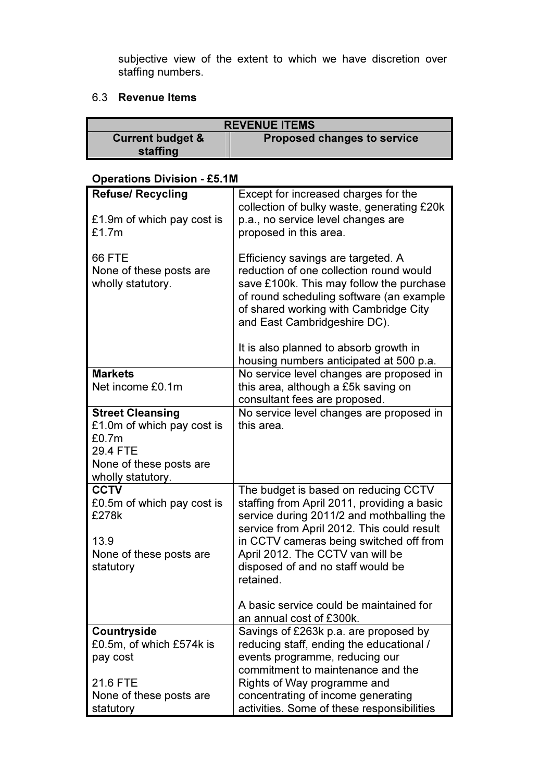subjective view of the extent to which we have discretion over staffing numbers.

### 6.3 Revenue Items

| <b>REVENUE ITEMS</b>        |                                    |  |
|-----------------------------|------------------------------------|--|
| <b>Current budget &amp;</b> | <b>Proposed changes to service</b> |  |
| staffing                    |                                    |  |

## Operations Division - £5.1M

| <b>Refuse/ Recycling</b>   | Except for increased charges for the                                |
|----------------------------|---------------------------------------------------------------------|
|                            | collection of bulky waste, generating £20k                          |
| £1.9m of which pay cost is | p.a., no service level changes are                                  |
| £1.7m                      | proposed in this area.                                              |
|                            |                                                                     |
| <b>66 FTE</b>              | Efficiency savings are targeted. A                                  |
| None of these posts are    | reduction of one collection round would                             |
| wholly statutory.          | save £100k. This may follow the purchase                            |
|                            | of round scheduling software (an example                            |
|                            | of shared working with Cambridge City                               |
|                            | and East Cambridgeshire DC).                                        |
|                            |                                                                     |
|                            | It is also planned to absorb growth in                              |
|                            | housing numbers anticipated at 500 p.a.                             |
| <b>Markets</b>             | No service level changes are proposed in                            |
| Net income £0.1m           | this area, although a £5k saving on                                 |
|                            | consultant fees are proposed.                                       |
| <b>Street Cleansing</b>    | No service level changes are proposed in                            |
| £1.0m of which pay cost is | this area.                                                          |
| £0.7m                      |                                                                     |
| 29.4 FTE                   |                                                                     |
| None of these posts are    |                                                                     |
| wholly statutory.          |                                                                     |
| <b>CCTV</b>                | The budget is based on reducing CCTV                                |
| £0.5m of which pay cost is | staffing from April 2011, providing a basic                         |
| £278k                      | service during 2011/2 and mothballing the                           |
|                            | service from April 2012. This could result                          |
| 13.9                       | in CCTV cameras being switched off from                             |
| None of these posts are    | April 2012. The CCTV van will be                                    |
| statutory                  | disposed of and no staff would be                                   |
|                            | retained.                                                           |
|                            |                                                                     |
|                            | A basic service could be maintained for<br>an annual cost of £300k. |
| Countryside                | Savings of £263k p.a. are proposed by                               |
| £0.5m, of which £574k is   | reducing staff, ending the educational /                            |
| pay cost                   | events programme, reducing our                                      |
|                            | commitment to maintenance and the                                   |
| 21.6 FTE                   | Rights of Way programme and                                         |
| None of these posts are    | concentrating of income generating                                  |
| statutory                  | activities. Some of these responsibilities                          |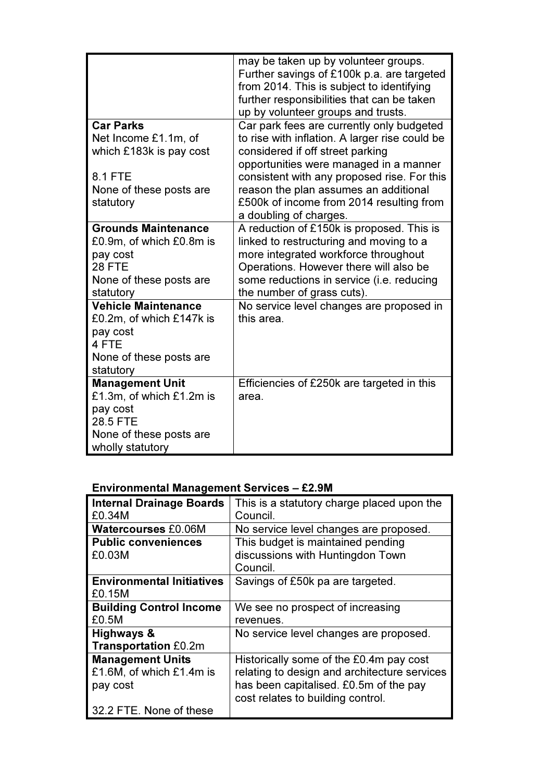|                            | may be taken up by volunteer groups.<br>Further savings of £100k p.a. are targeted<br>from 2014. This is subject to identifying<br>further responsibilities that can be taken<br>up by volunteer groups and trusts. |
|----------------------------|---------------------------------------------------------------------------------------------------------------------------------------------------------------------------------------------------------------------|
| <b>Car Parks</b>           | Car park fees are currently only budgeted                                                                                                                                                                           |
| Net Income £1.1m, of       | to rise with inflation. A larger rise could be                                                                                                                                                                      |
| which £183k is pay cost    | considered if off street parking                                                                                                                                                                                    |
|                            | opportunities were managed in a manner                                                                                                                                                                              |
| 8.1 FTE                    | consistent with any proposed rise. For this                                                                                                                                                                         |
| None of these posts are    | reason the plan assumes an additional                                                                                                                                                                               |
| statutory                  | £500k of income from 2014 resulting from                                                                                                                                                                            |
|                            | a doubling of charges.                                                                                                                                                                                              |
| <b>Grounds Maintenance</b> | A reduction of £150k is proposed. This is                                                                                                                                                                           |
| £0.9m, of which £0.8m is   | linked to restructuring and moving to a                                                                                                                                                                             |
| pay cost                   | more integrated workforce throughout                                                                                                                                                                                |
| <b>28 FTE</b>              | Operations. However there will also be                                                                                                                                                                              |
| None of these posts are    | some reductions in service (i.e. reducing                                                                                                                                                                           |
| statutory                  | the number of grass cuts).                                                                                                                                                                                          |
| <b>Vehicle Maintenance</b> | No service level changes are proposed in                                                                                                                                                                            |
| £0.2m, of which £147k is   | this area.                                                                                                                                                                                                          |
| pay cost<br>4 FTE          |                                                                                                                                                                                                                     |
| None of these posts are    |                                                                                                                                                                                                                     |
| statutory                  |                                                                                                                                                                                                                     |
| <b>Management Unit</b>     | Efficiencies of £250k are targeted in this                                                                                                                                                                          |
| £1.3m, of which £1.2m is   | area.                                                                                                                                                                                                               |
| pay cost                   |                                                                                                                                                                                                                     |
| 28.5 FTE                   |                                                                                                                                                                                                                     |
| None of these posts are    |                                                                                                                                                                                                                     |
| wholly statutory           |                                                                                                                                                                                                                     |

# Environmental Management Services – £2.9M

| <b>Internal Drainage Boards</b>  | This is a statutory charge placed upon the   |
|----------------------------------|----------------------------------------------|
| £0.34M                           | Council.                                     |
| <b>Watercourses £0.06M</b>       | No service level changes are proposed.       |
| <b>Public conveniences</b>       | This budget is maintained pending            |
| £0.03M                           | discussions with Huntingdon Town             |
|                                  | Council.                                     |
| <b>Environmental Initiatives</b> | Savings of £50k pa are targeted.             |
| £0.15M                           |                                              |
| <b>Building Control Income</b>   | We see no prospect of increasing             |
| £0.5M                            | revenues.                                    |
| Highways &                       | No service level changes are proposed.       |
| <b>Transportation £0.2m</b>      |                                              |
| <b>Management Units</b>          | Historically some of the £0.4m pay cost      |
| £1.6M, of which £1.4m is         | relating to design and architecture services |
| pay cost                         | has been capitalised. £0.5m of the pay       |
|                                  | cost relates to building control.            |
| 32.2 FTE. None of these          |                                              |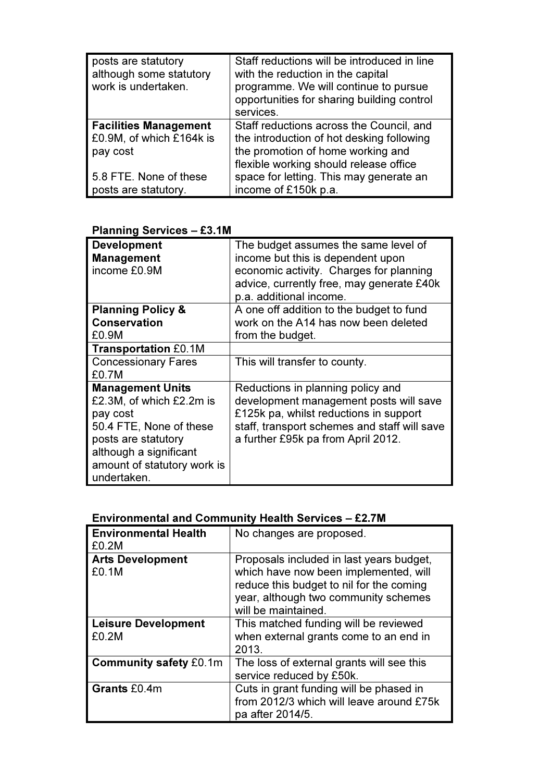| posts are statutory<br>although some statutory<br>work is undertaken. | Staff reductions will be introduced in line<br>with the reduction in the capital<br>programme. We will continue to pursue<br>opportunities for sharing building control<br>services. |
|-----------------------------------------------------------------------|--------------------------------------------------------------------------------------------------------------------------------------------------------------------------------------|
| <b>Facilities Management</b>                                          | Staff reductions across the Council, and                                                                                                                                             |
| £0.9M, of which £164k is                                              | the introduction of hot desking following                                                                                                                                            |
| pay cost                                                              | the promotion of home working and                                                                                                                                                    |
|                                                                       | flexible working should release office                                                                                                                                               |
| 5.8 FTE. None of these                                                | space for letting. This may generate an                                                                                                                                              |
| posts are statutory.                                                  | income of £150k p.a.                                                                                                                                                                 |

| <u>ם השטושווען שכו אוטניס</u><br>- ८७. нн |                                              |
|-------------------------------------------|----------------------------------------------|
| <b>Development</b>                        | The budget assumes the same level of         |
| <b>Management</b>                         | income but this is dependent upon            |
| income £0.9M                              | economic activity. Charges for planning      |
|                                           | advice, currently free, may generate £40k    |
|                                           | p.a. additional income.                      |
| <b>Planning Policy &amp;</b>              | A one off addition to the budget to fund     |
| <b>Conservation</b>                       | work on the A14 has now been deleted         |
| £0.9M                                     | from the budget.                             |
| <b>Transportation £0.1M</b>               |                                              |
| <b>Concessionary Fares</b>                | This will transfer to county.                |
| £0.7M                                     |                                              |
| <b>Management Units</b>                   | Reductions in planning policy and            |
| £2.3M, of which £2.2m is                  | development management posts will save       |
| pay cost                                  | £125k pa, whilst reductions in support       |
| 50.4 FTE, None of these                   | staff, transport schemes and staff will save |
| posts are statutory                       | a further £95k pa from April 2012.           |
| although a significant                    |                                              |
| amount of statutory work is               |                                              |
| undertaken.                               |                                              |

## Planning Services – £3.1M

# Environmental and Community Health Services – £2.7M

| <b>Environmental Health</b><br>£0.2M | No changes are proposed.                                                                                                                                                                     |
|--------------------------------------|----------------------------------------------------------------------------------------------------------------------------------------------------------------------------------------------|
| <b>Arts Development</b><br>£0.1M     | Proposals included in last years budget,<br>which have now been implemented, will<br>reduce this budget to nil for the coming<br>year, although two community schemes<br>will be maintained. |
| <b>Leisure Development</b><br>£0.2M  | This matched funding will be reviewed<br>when external grants come to an end in<br>2013.                                                                                                     |
| <b>Community safety £0.1m</b>        | The loss of external grants will see this<br>service reduced by £50k.                                                                                                                        |
| Grants £0.4m                         | Cuts in grant funding will be phased in<br>from 2012/3 which will leave around £75k<br>pa after 2014/5.                                                                                      |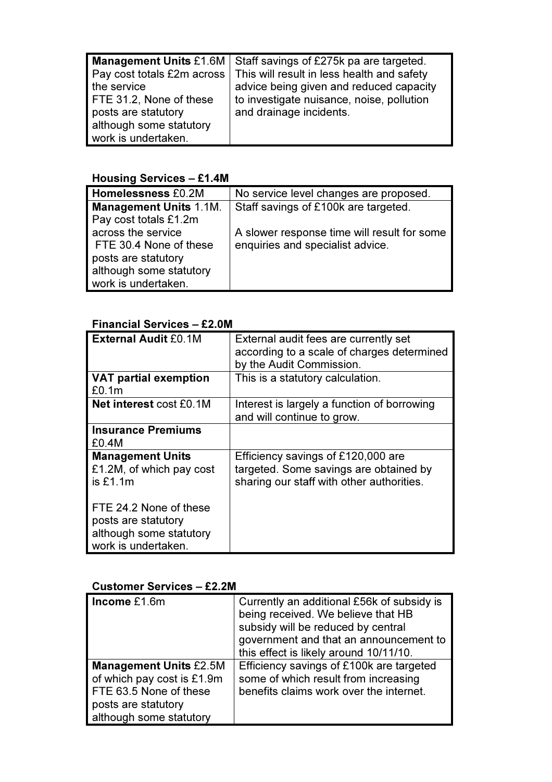|                         | Management Units £1.6M   Staff savings of £275k pa are targeted.        |
|-------------------------|-------------------------------------------------------------------------|
|                         | Pay cost totals £2m across   This will result in less health and safety |
| the service             | advice being given and reduced capacity                                 |
| FTE 31.2, None of these | to investigate nuisance, noise, pollution                               |
| posts are statutory     | and drainage incidents.                                                 |
| although some statutory |                                                                         |
| work is undertaken.     |                                                                         |

## Housing Services – £1.4M

| <b>Homelessness £0.2M</b>     | No service level changes are proposed.      |
|-------------------------------|---------------------------------------------|
| <b>Management Units 1.1M.</b> | Staff savings of £100k are targeted.        |
| Pay cost totals £1.2m         |                                             |
| across the service            | A slower response time will result for some |
| FTE 30.4 None of these        | enquiries and specialist advice.            |
| posts are statutory           |                                             |
| although some statutory       |                                             |
| work is undertaken.           |                                             |

# Financial Services – £2.0M

| <b>External Audit £0.1M</b>                                                                     | External audit fees are currently set<br>according to a scale of charges determined<br>by the Audit Commission.           |
|-------------------------------------------------------------------------------------------------|---------------------------------------------------------------------------------------------------------------------------|
| <b>VAT partial exemption</b><br>£0.1m                                                           | This is a statutory calculation.                                                                                          |
| <b>Net interest cost £0.1M</b>                                                                  | Interest is largely a function of borrowing<br>and will continue to grow.                                                 |
| <b>Insurance Premiums</b><br>£0.4M                                                              |                                                                                                                           |
| <b>Management Units</b><br>£1.2M, of which pay cost<br>is $£1.1m$                               | Efficiency savings of £120,000 are<br>targeted. Some savings are obtained by<br>sharing our staff with other authorities. |
| FTE 24.2 None of these<br>posts are statutory<br>although some statutory<br>work is undertaken. |                                                                                                                           |

## Customer Services – £2.2M

| Income $£1.6m$                                                                                                                          | Currently an additional £56k of subsidy is<br>being received. We believe that HB<br>subsidy will be reduced by central<br>government and that an announcement to<br>this effect is likely around 10/11/10. |
|-----------------------------------------------------------------------------------------------------------------------------------------|------------------------------------------------------------------------------------------------------------------------------------------------------------------------------------------------------------|
| <b>Management Units £2.5M</b><br>of which pay cost is £1.9m<br>FTE 63.5 None of these<br>posts are statutory<br>although some statutory | Efficiency savings of £100k are targeted<br>some of which result from increasing<br>benefits claims work over the internet.                                                                                |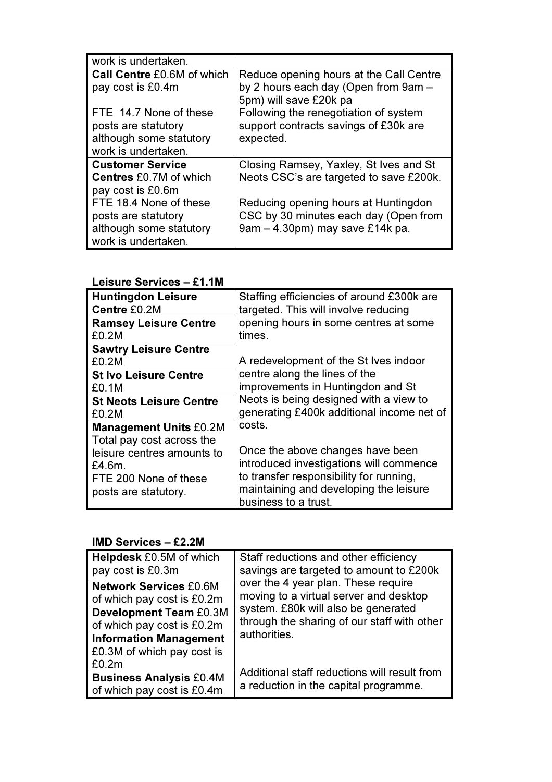| work is undertaken.           |                                         |
|-------------------------------|-----------------------------------------|
| Call Centre £0.6M of which    | Reduce opening hours at the Call Centre |
| pay cost is £0.4m             | by 2 hours each day (Open from 9am -    |
|                               | 5pm) will save £20k pa                  |
| FTE 14.7 None of these        | Following the renegotiation of system   |
| posts are statutory           | support contracts savings of £30k are   |
| although some statutory       | expected.                               |
| work is undertaken.           |                                         |
| <b>Customer Service</b>       | Closing Ramsey, Yaxley, St Ives and St  |
| <b>Centres £0.7M of which</b> | Neots CSC's are targeted to save £200k. |
| pay cost is £0.6m             |                                         |
| FTE 18.4 None of these        | Reducing opening hours at Huntingdon    |
| posts are statutory           | CSC by 30 minutes each day (Open from   |
| although some statutory       | 9am - 4.30pm) may save £14k pa.         |
| work is undertaken.           |                                         |

# Leisure Services – £1.1M

| <b>Huntingdon Leisure</b>                                                             | Staffing efficiencies of around £300k are                                                                                                                                                |
|---------------------------------------------------------------------------------------|------------------------------------------------------------------------------------------------------------------------------------------------------------------------------------------|
| Centre £0.2M                                                                          | targeted. This will involve reducing                                                                                                                                                     |
| <b>Ramsey Leisure Centre</b>                                                          | opening hours in some centres at some                                                                                                                                                    |
| £0.2M                                                                                 | times.                                                                                                                                                                                   |
| <b>Sawtry Leisure Centre</b><br>£0.2M                                                 | A redevelopment of the St Ives indoor                                                                                                                                                    |
| <b>St Ivo Leisure Centre</b>                                                          | centre along the lines of the                                                                                                                                                            |
| £0.1M                                                                                 | improvements in Huntingdon and St                                                                                                                                                        |
| <b>St Neots Leisure Centre</b>                                                        | Neots is being designed with a view to                                                                                                                                                   |
| £0.2M                                                                                 | generating £400k additional income net of                                                                                                                                                |
| <b>Management Units £0.2M</b><br>Total pay cost across the                            | costs.                                                                                                                                                                                   |
| leisure centres amounts to<br>£4.6m.<br>FTE 200 None of these<br>posts are statutory. | Once the above changes have been<br>introduced investigations will commence<br>to transfer responsibility for running,<br>maintaining and developing the leisure<br>business to a trust. |

## IMD Services – £2.2M

| Helpdesk £0.5M of which                                              | Staff reductions and other efficiency        |
|----------------------------------------------------------------------|----------------------------------------------|
| pay cost is £0.3m                                                    | savings are targeted to amount to £200k      |
| <b>Network Services £0.6M</b>                                        | over the 4 year plan. These require          |
| of which pay cost is £0.2m                                           | moving to a virtual server and desktop       |
| <b>Development Team £0.3M</b>                                        | system. £80k will also be generated          |
| of which pay cost is £0.2m                                           | through the sharing of our staff with other  |
| <b>Information Management</b><br>£0.3M of which pay cost is<br>£0.2m | authorities.                                 |
| <b>Business Analysis £0.4M</b>                                       | Additional staff reductions will result from |
| of which pay cost is £0.4m                                           | a reduction in the capital programme.        |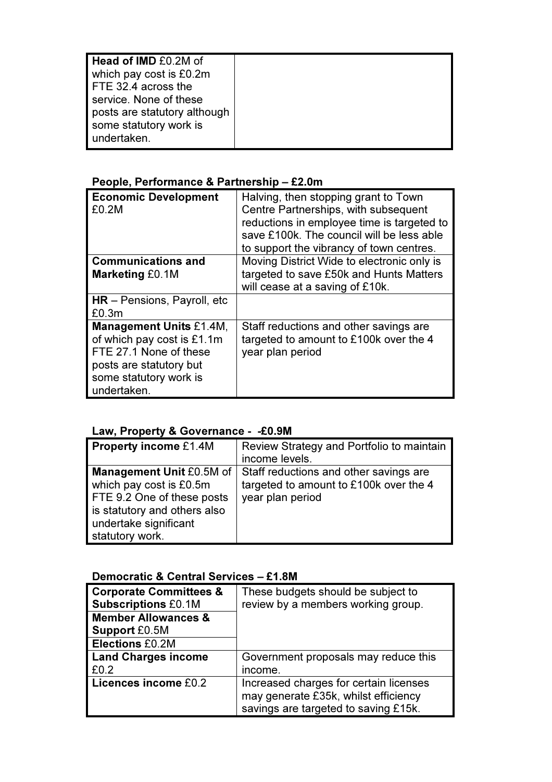| Head of IMD £0.2M of<br>which pay cost is £0.2m<br>FTE 32.4 across the<br>service. None of these<br>posts are statutory although<br>some statutory work is |  |
|------------------------------------------------------------------------------------------------------------------------------------------------------------|--|
| undertaken.                                                                                                                                                |  |

# People, Performance & Partnership – £2.0m

| <b>Economic Development</b><br>£0.2M                                                                                                                       | Halving, then stopping grant to Town<br>Centre Partnerships, with subsequent<br>reductions in employee time is targeted to<br>save £100k. The council will be less able<br>to support the vibrancy of town centres. |
|------------------------------------------------------------------------------------------------------------------------------------------------------------|---------------------------------------------------------------------------------------------------------------------------------------------------------------------------------------------------------------------|
| <b>Communications and</b>                                                                                                                                  | Moving District Wide to electronic only is                                                                                                                                                                          |
| <b>Marketing £0.1M</b>                                                                                                                                     | targeted to save £50k and Hunts Matters<br>will cease at a saving of £10k.                                                                                                                                          |
| $HR - Pensions$ , Payroll, etc<br>£0.3m                                                                                                                    |                                                                                                                                                                                                                     |
| <b>Management Units £1.4M,</b><br>of which pay cost is £1.1m<br>FTE 27.1 None of these<br>posts are statutory but<br>some statutory work is<br>undertaken. | Staff reductions and other savings are<br>targeted to amount to £100k over the 4<br>year plan period                                                                                                                |

## Law, Property & Governance - -£0.9M

| <b>Property income £1.4M</b>    | Review Strategy and Portfolio to maintain |
|---------------------------------|-------------------------------------------|
|                                 | income levels.                            |
| <b>Management Unit £0.5M of</b> | Staff reductions and other savings are    |
| which pay cost is £0.5m         | targeted to amount to £100k over the 4    |
| FTE 9.2 One of these posts      | year plan period                          |
| is statutory and others also    |                                           |
| undertake significant           |                                           |
| statutory work.                 |                                           |

# Democratic & Central Services – £1.8M

| <b>Corporate Committees &amp;</b> | These budgets should be subject to     |
|-----------------------------------|----------------------------------------|
| <b>Subscriptions £0.1M</b>        | review by a members working group.     |
| <b>Member Allowances &amp;</b>    |                                        |
| <b>Support £0.5M</b>              |                                        |
| <b>Elections £0.2M</b>            |                                        |
| <b>Land Charges income</b>        | Government proposals may reduce this   |
| £0.2                              | income.                                |
| Licences income £0.2              | Increased charges for certain licenses |
|                                   | may generate £35k, whilst efficiency   |
|                                   | savings are targeted to saving £15k.   |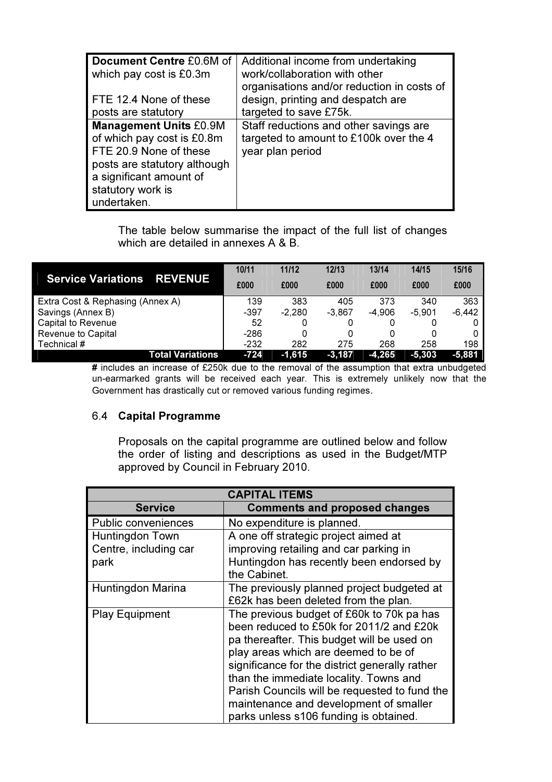| Document Centre £0.6M of<br>which pay cost is £0.3m | Additional income from undertaking<br>work/collaboration with other             |
|-----------------------------------------------------|---------------------------------------------------------------------------------|
| FTE 12.4 None of these                              | organisations and/or reduction in costs of<br>design, printing and despatch are |
| posts are statutory                                 | targeted to save £75k.                                                          |
| <b>Management Units £0.9M</b>                       | Staff reductions and other savings are                                          |
| of which pay cost is £0.8m                          | targeted to amount to £100k over the 4                                          |
| FTE 20.9 None of these                              | year plan period                                                                |
| posts are statutory although                        |                                                                                 |
| a significant amount of                             |                                                                                 |
| statutory work is                                   |                                                                                 |
| undertaken.                                         |                                                                                 |

 The table below summarise the impact of the full list of changes which are detailed in annexes A & B.

|                                             | 10/11  | 11/12    | 12/13    | 13/14    | 14/15    | 15/16    |
|---------------------------------------------|--------|----------|----------|----------|----------|----------|
| <b>Service Variations</b><br><b>REVENUE</b> | £000   | £000     | £000     | £000     | £000     | £000     |
| Extra Cost & Rephasing (Annex A)            | 139    | 383      | 405      | 373      | 340      | 363      |
| Savings (Annex B)                           | $-397$ | $-2,280$ | $-3.867$ | $-4,906$ | $-5.901$ | $-6,442$ |
| Capital to Revenue                          | 52     |          |          |          |          |          |
| Revenue to Capital                          | $-286$ |          | 0        |          | 0        |          |
| Technical #                                 | $-232$ | 282      | 275      | 268      | 258      | 198      |
| <b>Total Variations</b>                     | $-724$ | $-1,615$ | $-3,187$ | $-4,265$ | $-5,303$ | $-5,881$ |

# includes an increase of £250k due to the removal of the assumption that extra unbudgeted un-earmarked grants will be received each year. This is extremely unlikely now that the Government has drastically cut or removed various funding regimes.

## 6.4 Capital Programme

 Proposals on the capital programme are outlined below and follow the order of listing and descriptions as used in the Budget/MTP approved by Council in February 2010.

| <b>CAPITAL ITEMS</b>       |                                                                                                                                                                             |  |  |
|----------------------------|-----------------------------------------------------------------------------------------------------------------------------------------------------------------------------|--|--|
| <b>Service</b>             | <b>Comments and proposed changes</b>                                                                                                                                        |  |  |
| <b>Public conveniences</b> | No expenditure is planned.                                                                                                                                                  |  |  |
| Huntingdon Town            | A one off strategic project aimed at                                                                                                                                        |  |  |
| Centre, including car      | improving retailing and car parking in                                                                                                                                      |  |  |
| park                       | Huntingdon has recently been endorsed by<br>the Cabinet.                                                                                                                    |  |  |
| Huntingdon Marina          | The previously planned project budgeted at                                                                                                                                  |  |  |
|                            | £62k has been deleted from the plan.                                                                                                                                        |  |  |
| <b>Play Equipment</b>      | The previous budget of £60k to 70k pa has<br>been reduced to £50k for 2011/2 and £20k<br>pa thereafter. This budget will be used on<br>play areas which are deemed to be of |  |  |
|                            | significance for the district generally rather<br>than the immediate locality. Towns and                                                                                    |  |  |
|                            | Parish Councils will be requested to fund the<br>maintenance and development of smaller<br>parks unless s106 funding is obtained.                                           |  |  |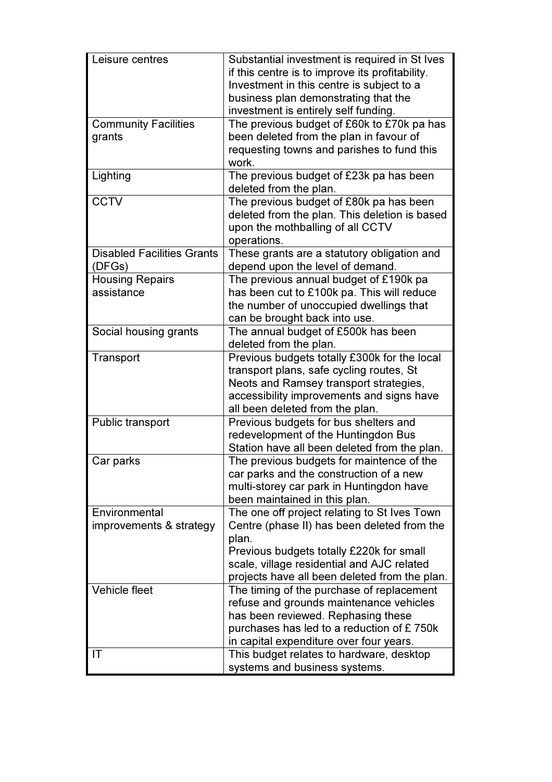| Leisure centres                   | Substantial investment is required in St Ives   |
|-----------------------------------|-------------------------------------------------|
|                                   | if this centre is to improve its profitability. |
|                                   | Investment in this centre is subject to a       |
|                                   | business plan demonstrating that the            |
|                                   | investment is entirely self funding.            |
| <b>Community Facilities</b>       | The previous budget of £60k to £70k pa has      |
| grants                            | been deleted from the plan in favour of         |
|                                   | requesting towns and parishes to fund this      |
|                                   | work.                                           |
| Lighting                          | The previous budget of £23k pa has been         |
|                                   | deleted from the plan.                          |
| <b>CCTV</b>                       | The previous budget of £80k pa has been         |
|                                   | deleted from the plan. This deletion is based   |
|                                   | upon the mothballing of all CCTV                |
|                                   | operations.                                     |
| <b>Disabled Facilities Grants</b> | These grants are a statutory obligation and     |
| (DFGs)                            | depend upon the level of demand.                |
| <b>Housing Repairs</b>            | The previous annual budget of £190k pa          |
| assistance                        | has been cut to £100k pa. This will reduce      |
|                                   | the number of unoccupied dwellings that         |
|                                   | can be brought back into use.                   |
| Social housing grants             | The annual budget of £500k has been             |
|                                   | deleted from the plan.                          |
| Transport                         | Previous budgets totally £300k for the local    |
|                                   | transport plans, safe cycling routes, St        |
|                                   | Neots and Ramsey transport strategies,          |
|                                   | accessibility improvements and signs have       |
|                                   | all been deleted from the plan.                 |
| Public transport                  | Previous budgets for bus shelters and           |
|                                   | redevelopment of the Huntingdon Bus             |
|                                   | Station have all been deleted from the plan.    |
| Car parks                         | The previous budgets for maintence of the       |
|                                   | car parks and the construction of a new         |
|                                   | multi-storey car park in Huntingdon have        |
|                                   | been maintained in this plan.                   |
| Environmental                     | The one off project relating to St Ives Town    |
| improvements & strategy           | Centre (phase II) has been deleted from the     |
|                                   | plan.                                           |
|                                   | Previous budgets totally £220k for small        |
|                                   | scale, village residential and AJC related      |
|                                   | projects have all been deleted from the plan.   |
| <b>Vehicle fleet</b>              | The timing of the purchase of replacement       |
|                                   | refuse and grounds maintenance vehicles         |
|                                   | has been reviewed. Rephasing these              |
|                                   | purchases has led to a reduction of £750k       |
|                                   | in capital expenditure over four years.         |
| IT                                | This budget relates to hardware, desktop        |
|                                   | systems and business systems.                   |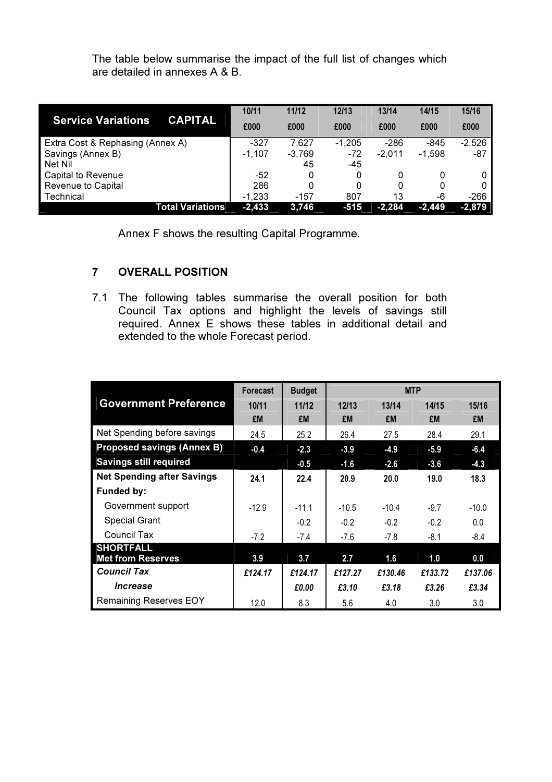The table below summarise the impact of the full list of changes which are detailed in annexes A & B.

|                                  |                         | 10/11    | 11/12    | 12/13    | 13/14    | 14/15    | 15/16    |
|----------------------------------|-------------------------|----------|----------|----------|----------|----------|----------|
| <b>Service Variations</b>        | <b>CAPITAL</b>          | £000     | £000     | £000     | £000     | £000     | £000     |
| Extra Cost & Rephasing (Annex A) |                         | $-327$   | 7.627    | $-1,205$ | -286     | -845     | $-2,526$ |
| Savings (Annex B)                |                         | $-1,107$ | $-3,769$ | $-72$    | $-2,011$ | $-1.598$ | -87      |
| Net Nil                          |                         |          | 45       | -45      |          |          |          |
| Capital to Revenue               |                         | -52      |          | 0        | 0        |          |          |
| Revenue to Capital               |                         | 286      |          |          | 0        | 0        |          |
| Technical                        |                         | $-1,233$ | $-157$   | 807      | 13       | -6       | $-266$   |
|                                  | <b>Total Variations</b> | $-2,433$ | 3,746    | $-515$   | $-2,284$ | $-2,449$ | $-2,879$ |

Annex F shows the resulting Capital Programme.

## 7 OVERALL POSITION

7.1 The following tables summarise the overall position for both Council Tax options and highlight the levels of savings still required. Annex E shows these tables in additional detail and extended to the whole Forecast period.

|                                   | <b>Forecast</b> | <b>Budget</b> |         | <b>MTP</b> |         |         |
|-----------------------------------|-----------------|---------------|---------|------------|---------|---------|
| <b>Government Preference</b>      | 10/11           | 11/12         | 12/13   | 13/14      | 14/15   | 15/16   |
|                                   | £M              | £M            | £M      | £M         | £M      | £M      |
| Net Spending before savings       | 24.5            | 25.2          | 26.4    | 27.5       | 28.4    | 29.1    |
| <b>Proposed savings (Annex B)</b> | $-0.4$          | $-2.3$        | $-3.9$  | $-4.9$     | $-5.9$  | $-6.4$  |
| <b>Savings still required</b>     |                 | $-0.5$        | $-1.6$  | $-2.6$     | $-3.6$  | $-4.3$  |
| <b>Net Spending after Savings</b> | 24.1            | 22.4          | 20.9    | 20.0       | 19.0    | 18.3    |
| <b>Funded by:</b>                 |                 |               |         |            |         |         |
| Government support                | $-12.9$         | $-11.1$       | $-10.5$ | $-10.4$    | $-9.7$  | $-10.0$ |
| <b>Special Grant</b>              |                 | $-0.2$        | $-0.2$  | $-0.2$     | $-0.2$  | 0.0     |
| Council Tax                       | $-7.2$          | $-7.4$        | $-7.6$  | $-7.8$     | -8.1    | $-8.4$  |
| <b>SHORTFALL</b>                  |                 |               |         |            |         |         |
| <b>Met from Reserves</b>          | 3.9             | 3.7           | 2.7     | 1.6        | 1.0     | 0.0     |
| <b>Council Tax</b>                | £124.17         | £124.17       | £127.27 | £130.46    | £133.72 | £137.06 |
| <i><u><b>Increase</b></u></i>     |                 | £0.00         | £3.10   | £3.18      | £3.26   | £3.34   |
| <b>Remaining Reserves EOY</b>     | 12.0            | 8.3           | 5.6     | 4.0        | 3.0     | 3.0     |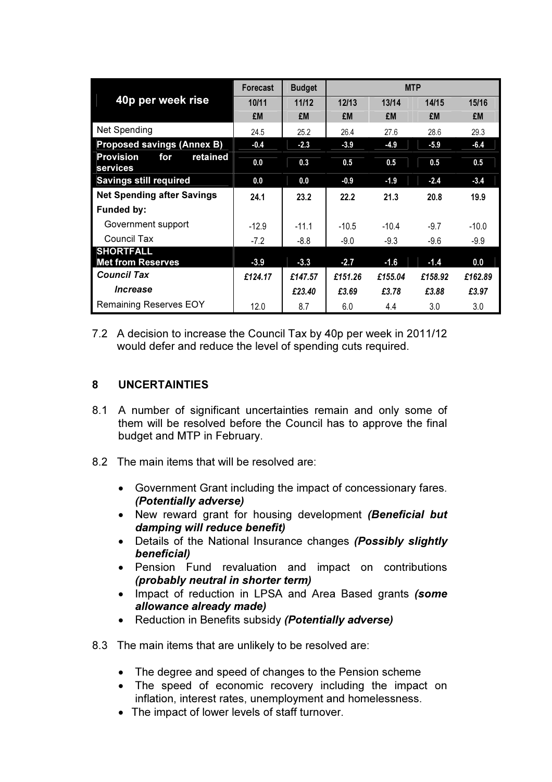|                                                 | Forecast | <b>Budget</b> |         | <b>MTP</b> |         |         |
|-------------------------------------------------|----------|---------------|---------|------------|---------|---------|
| 40p per week rise                               | 10/11    | 11/12         | 12/13   | 13/14      | 14/15   | 15/16   |
|                                                 | £M       | £M            | £M      | £M         | £M      | £M      |
| <b>Net Spending</b>                             | 24.5     | 25.2          | 26.4    | 27.6       | 28.6    | 29.3    |
| <b>Proposed savings (Annex B)</b>               | $-0.4$   | $-2.3$        | $-3.9$  | $-4.9$     | $-5.9$  | $-6.4$  |
| <b>Provision</b><br>retained<br>for<br>services | 0.0      | 0.3           | 0.5     | 0.5        | 0.5     | 0.5     |
| <b>Savings still required</b>                   | 0.0      | 0.0           | $-0.9$  | $-1.9$     | $-2.4$  | $-3.4$  |
| <b>Net Spending after Savings</b>               | 24.1     | 23.2          | 22.2    | 21.3       | 20.8    | 19.9    |
| <b>Funded by:</b>                               |          |               |         |            |         |         |
| Government support                              | $-12.9$  | $-11.1$       | $-10.5$ | $-10.4$    | $-9.7$  | $-10.0$ |
| Council Tax                                     | $-7.2$   | $-8.8$        | $-9.0$  | $-9.3$     | $-9.6$  | $-9.9$  |
| <b>SHORTFALL</b>                                |          |               |         |            |         |         |
| <b>Met from Reserves</b>                        | $-3.9$   | $-3.3$        | $-2.7$  | $-1.6$     | $-1.4$  | 0.0     |
| <b>Council Tax</b>                              | £124.17  | £147.57       | £151.26 | £155.04    | £158.92 | £162.89 |
| <i><u><b>Increase</b></u></i>                   |          | £23.40        | £3.69   | £3.78      | £3.88   | £3.97   |
| <b>Remaining Reserves EOY</b>                   | 12.0     | 8.7           | 6.0     | 4.4        | 3.0     | 3.0     |

7.2 A decision to increase the Council Tax by 40p per week in 2011/12 would defer and reduce the level of spending cuts required.

#### 8 UNCERTAINTIES

- 8.1 A number of significant uncertainties remain and only some of them will be resolved before the Council has to approve the final budget and MTP in February.
- 8.2 The main items that will be resolved are:
	- Government Grant including the impact of concessionary fares. (Potentially adverse)
	- New reward grant for housing development (Beneficial but damping will reduce benefit)
	- Details of the National Insurance changes (Possibly slightly beneficial)
	- Pension Fund revaluation and impact on contributions (probably neutral in shorter term)
	- Impact of reduction in LPSA and Area Based grants (some allowance already made)
	- Reduction in Benefits subsidy (Potentially adverse)
- 8.3 The main items that are unlikely to be resolved are:
	- The degree and speed of changes to the Pension scheme
	- The speed of economic recovery including the impact on inflation, interest rates, unemployment and homelessness.
	- The impact of lower levels of staff turnover.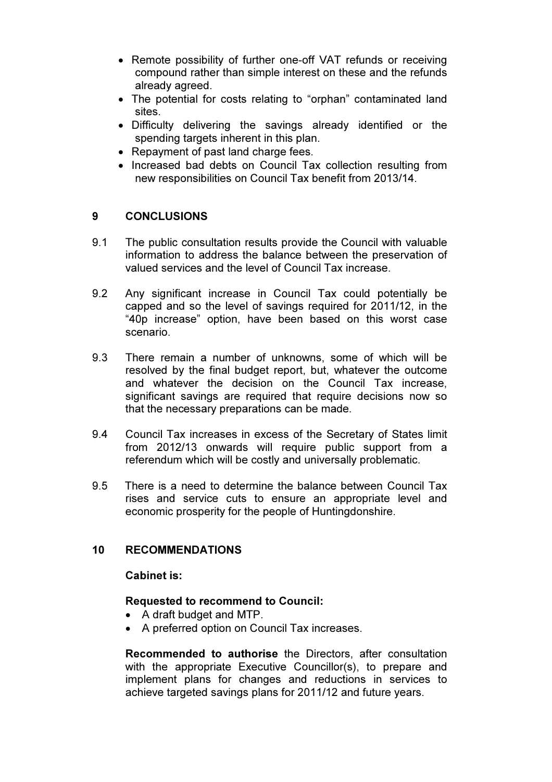- Remote possibility of further one-off VAT refunds or receiving compound rather than simple interest on these and the refunds already agreed.
- The potential for costs relating to "orphan" contaminated land sites.
- Difficulty delivering the savings already identified or the spending targets inherent in this plan.
- Repayment of past land charge fees.
- Increased bad debts on Council Tax collection resulting from new responsibilities on Council Tax benefit from 2013/14.

#### 9 CONCLUSIONS

- 9.1 The public consultation results provide the Council with valuable information to address the balance between the preservation of valued services and the level of Council Tax increase.
- 9.2 Any significant increase in Council Tax could potentially be capped and so the level of savings required for 2011/12, in the "40p increase" option, have been based on this worst case scenario.
- 9.3 There remain a number of unknowns, some of which will be resolved by the final budget report, but, whatever the outcome and whatever the decision on the Council Tax increase, significant savings are required that require decisions now so that the necessary preparations can be made.
- 9.4 Council Tax increases in excess of the Secretary of States limit from 2012/13 onwards will require public support from a referendum which will be costly and universally problematic.
- 9.5 There is a need to determine the balance between Council Tax rises and service cuts to ensure an appropriate level and economic prosperity for the people of Huntingdonshire.

## 10 RECOMMENDATIONS

#### Cabinet is:

#### Requested to recommend to Council:

- A draft budget and MTP.
- A preferred option on Council Tax increases.

Recommended to authorise the Directors, after consultation with the appropriate Executive Councillor(s), to prepare and implement plans for changes and reductions in services to achieve targeted savings plans for 2011/12 and future years.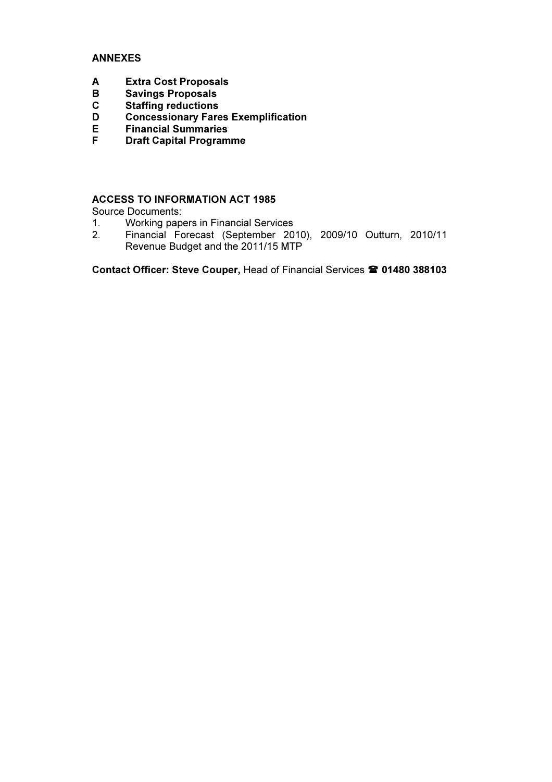#### ANNEXES

- A Extra Cost Proposals<br>B Savings Proposals
- **Savings Proposals**
- C Staffing reductions<br>D Concessionary Fare
- D Concessionary Fares Exemplification<br>F Financial Summaries
- E Financial Summaries<br>F Draft Capital Program
- **Draft Capital Programme**

#### ACCESS TO INFORMATION ACT 1985

Source Documents:<br>1. Working pape

- 1. Working papers in Financial Services<br>2. Financial Forecast (September 20
- 2. Financial Forecast (September 2010), 2009/10 Outturn, 2010/11 Revenue Budget and the 2011/15 MTP

Contact Officer: Steve Couper, Head of Financial Services <sup>2</sup> 01480 388103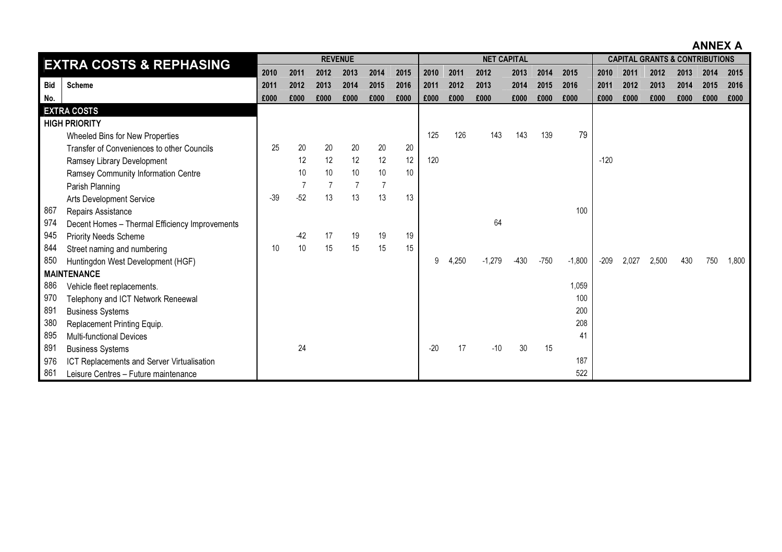ANNEX A

|            | <b>EXTRA COSTS &amp; REPHASING</b>             |       |       | <b>REVENUE</b> |      |                |      |       |       | <b>NET CAPITAL</b> |        |        |          |        |       | <b>CAPITAL GRANTS &amp; CONTRIBUTIONS</b> |      |      |       |
|------------|------------------------------------------------|-------|-------|----------------|------|----------------|------|-------|-------|--------------------|--------|--------|----------|--------|-------|-------------------------------------------|------|------|-------|
|            |                                                | 2010  | 2011  | 2012           | 2013 | 2014           | 2015 | 2010  | 2011  | 2012               | 2013   | 2014   | 2015     | 2010   | 2011  | 2012                                      | 2013 | 2014 | 2015  |
| <b>Bid</b> | <b>Scheme</b>                                  | 2011  | 2012  | 2013           | 2014 | 2015           | 2016 | 2011  | 2012  | 2013               | 2014   | 2015   | 2016     | 2011   | 2012  | 2013                                      | 2014 | 2015 | 2016  |
| No.        |                                                | £000  | £000  | £000           | £000 | £000           | £000 | £000  | £000  | £000               | £000   | £000   | £000     | £000   | £000  | £000                                      | £000 | £000 | £000  |
|            | <b>EXTRA COSTS</b>                             |       |       |                |      |                |      |       |       |                    |        |        |          |        |       |                                           |      |      |       |
|            | <b>HIGH PRIORITY</b>                           |       |       |                |      |                |      |       |       |                    |        |        |          |        |       |                                           |      |      |       |
|            | Wheeled Bins for New Properties                |       |       |                |      |                |      | 125   | 126   | 143                | 143    | 139    | 79       |        |       |                                           |      |      |       |
|            | Transfer of Conveniences to other Councils     | 25    | 20    | 20             | 20   | 20             | 20   |       |       |                    |        |        |          |        |       |                                           |      |      |       |
|            | Ramsey Library Development                     |       | 12    | 12             | 12   | 12             | 12   | 120   |       |                    |        |        |          | $-120$ |       |                                           |      |      |       |
|            | Ramsey Community Information Centre            |       | 10    | 10             | 10   | 10             | 10   |       |       |                    |        |        |          |        |       |                                           |      |      |       |
|            | Parish Planning                                |       |       | $\overline{7}$ | 7    | $\overline{7}$ |      |       |       |                    |        |        |          |        |       |                                           |      |      |       |
|            | Arts Development Service                       | $-39$ | $-52$ | 13             | 13   | 13             | 13   |       |       |                    |        |        |          |        |       |                                           |      |      |       |
| 867        | Repairs Assistance                             |       |       |                |      |                |      |       |       |                    |        |        | 100      |        |       |                                           |      |      |       |
| 974        | Decent Homes - Thermal Efficiency Improvements |       |       |                |      |                |      |       |       | 64                 |        |        |          |        |       |                                           |      |      |       |
| 945        | <b>Priority Needs Scheme</b>                   |       | $-42$ | 17             | 19   | 19             | 19   |       |       |                    |        |        |          |        |       |                                           |      |      |       |
| 844        | Street naming and numbering                    | 10    | 10    | 15             | 15   | 15             | 15   |       |       |                    |        |        |          |        |       |                                           |      |      |       |
| 850        | Huntingdon West Development (HGF)              |       |       |                |      |                |      | 9     | 4,250 | $-1,279$           | $-430$ | $-750$ | $-1,800$ | $-209$ | 2,027 | 2,500                                     | 430  | 750  | 1,800 |
|            | <b>MAINTENANCE</b>                             |       |       |                |      |                |      |       |       |                    |        |        |          |        |       |                                           |      |      |       |
| 886        | Vehicle fleet replacements.                    |       |       |                |      |                |      |       |       |                    |        |        | 1,059    |        |       |                                           |      |      |       |
| 970        | Telephony and ICT Network Reneewal             |       |       |                |      |                |      |       |       |                    |        |        | 100      |        |       |                                           |      |      |       |
| 891        | <b>Business Systems</b>                        |       |       |                |      |                |      |       |       |                    |        |        | 200      |        |       |                                           |      |      |       |
| 380        | Replacement Printing Equip.                    |       |       |                |      |                |      |       |       |                    |        |        | 208      |        |       |                                           |      |      |       |
| 895        | <b>Multi-functional Devices</b>                |       |       |                |      |                |      |       |       |                    |        |        | 41       |        |       |                                           |      |      |       |
| 891        | <b>Business Systems</b>                        |       | 24    |                |      |                |      | $-20$ | 17    | $-10$              | 30     | 15     |          |        |       |                                           |      |      |       |
| 976        | ICT Replacements and Server Virtualisation     |       |       |                |      |                |      |       |       |                    |        |        | 187      |        |       |                                           |      |      |       |
| 861        | Leisure Centres - Future maintenance           |       |       |                |      |                |      |       |       |                    |        |        | 522      |        |       |                                           |      |      |       |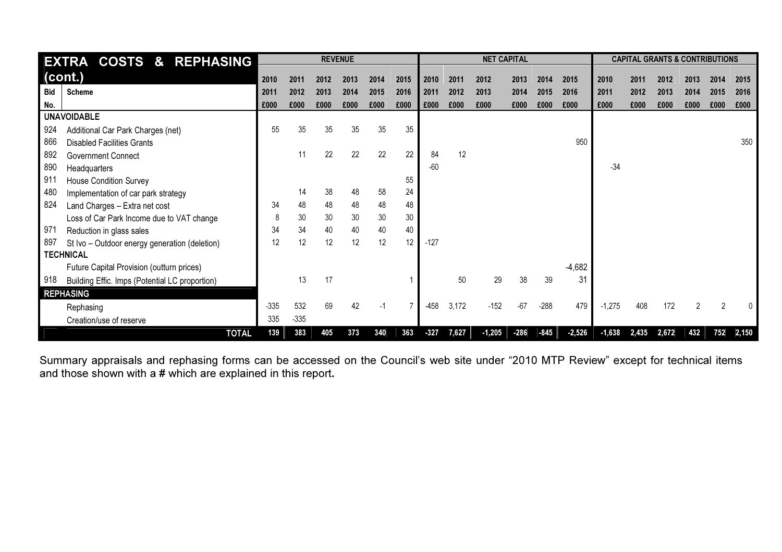| <b>EXTRA COSTS &amp; REPHASING</b>                    |        |        |      | <b>REVENUE</b> |      |      |        |       | <b>NET CAPITAL</b> |        |        |          |          | <b>CAPITAL GRANTS &amp; CONTRIBUTIONS</b> |       |                |      |       |
|-------------------------------------------------------|--------|--------|------|----------------|------|------|--------|-------|--------------------|--------|--------|----------|----------|-------------------------------------------|-------|----------------|------|-------|
| $ $ (cont.)                                           |        |        |      |                |      |      |        |       |                    |        |        |          |          |                                           |       |                |      |       |
|                                                       | 2010   | 2011   | 2012 | 2013           | 2014 | 2015 | 2010   | 2011  | 2012               | 2013   | 2014   | 2015     | 2010     | 2011                                      | 2012  | 2013           | 2014 | 2015  |
| Bid<br><b>Scheme</b>                                  | 2011   | 2012   | 2013 | 2014           | 2015 | 2016 | 2011   | 2012  | 2013               | 2014   | 2015   | 2016     | 2011     | 2012                                      | 2013  | 2014           | 2015 | 2016  |
| No.                                                   | £000   | £000   | £000 | £000           | £000 | £000 | £000   | £000  | £000               | £000   | £000   | £000     | £000     | £000                                      | £000  | £000           | £000 | £000  |
| <b>UNAVOIDABLE</b>                                    |        |        |      |                |      |      |        |       |                    |        |        |          |          |                                           |       |                |      |       |
| 924<br>Additional Car Park Charges (net)              | 55     | 35     | 35   | 35             | 35   | 35   |        |       |                    |        |        |          |          |                                           |       |                |      |       |
| 866<br><b>Disabled Facilities Grants</b>              |        |        |      |                |      |      |        |       |                    |        |        | 950      |          |                                           |       |                |      | 350   |
| 892<br><b>Government Connect</b>                      |        | 11     | 22   | 22             | 22   | 22   | 84     | 12    |                    |        |        |          |          |                                           |       |                |      |       |
| 890<br>Headquarters                                   |        |        |      |                |      |      | $-60$  |       |                    |        |        |          | $-34$    |                                           |       |                |      |       |
| 911<br><b>House Condition Survey</b>                  |        |        |      |                |      | 55   |        |       |                    |        |        |          |          |                                           |       |                |      |       |
| 480<br>Implementation of car park strategy            |        | 14     | 38   | 48             | 58   | 24   |        |       |                    |        |        |          |          |                                           |       |                |      |       |
| 824<br>Land Charges - Extra net cost                  | 34     | 48     | 48   | 48             | 48   | 48   |        |       |                    |        |        |          |          |                                           |       |                |      |       |
| Loss of Car Park Income due to VAT change             | 8      | 30     | 30   | 30             | 30   | 30   |        |       |                    |        |        |          |          |                                           |       |                |      |       |
| 971<br>Reduction in glass sales                       | 34     | 34     | 40   | 40             | 40   | 40   |        |       |                    |        |        |          |          |                                           |       |                |      |       |
| 897<br>St Ivo - Outdoor energy generation (deletion)  | 12     | 12     | 12   | 12             | 12   | 12   | $-127$ |       |                    |        |        |          |          |                                           |       |                |      |       |
| <b>TECHNICAL</b>                                      |        |        |      |                |      |      |        |       |                    |        |        |          |          |                                           |       |                |      |       |
| Future Capital Provision (outturn prices)             |        |        |      |                |      |      |        |       |                    |        |        | $-4,682$ |          |                                           |       |                |      |       |
| 918<br>Building Effic. Imps (Potential LC proportion) |        | 13     | 17   |                |      |      |        | 50    | 29                 | 38     | 39     | 31       |          |                                           |       |                |      |       |
| <b>REPHASING</b>                                      |        |        |      |                |      |      |        |       |                    |        |        |          |          |                                           |       |                |      |       |
| Rephasing                                             | $-335$ | 532    | 69   | 42             | $-1$ |      | $-458$ | 3,172 | $-152$             | $-67$  | $-288$ | 479      | $-1,275$ | 408                                       | 172   | $\overline{2}$ | 2    |       |
| Creation/use of reserve                               | 335    | $-335$ |      |                |      |      |        |       |                    |        |        |          |          |                                           |       |                |      |       |
| <b>TOTAL</b>                                          | 139    | 383    | 405  | 373            | 340  | 363  | $-327$ | 7,627 | $-1,205$           | $-286$ | $-845$ | $-2,526$ | $-1,638$ | 2,435                                     | 2,672 | 432            | 752  | 2,150 |

Summary appraisals and rephasing forms can be accessed on the Council's web site under "2010 MTP Review" except for technical items<br>and those shown with a # which are explained in this report.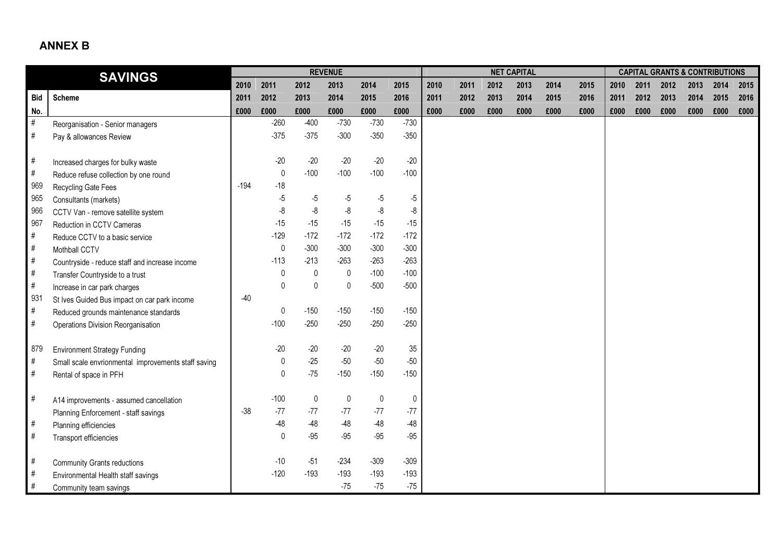## ANNEX B

|            | <b>SAVINGS</b>                                      |        |              |              | <b>REVENUE</b> |           |             |      |      |      | <b>NET CAPITAL</b> |      |      |      |      |      | <b>CAPITAL GRANTS &amp; CONTRIBUTIONS</b> |      |      |
|------------|-----------------------------------------------------|--------|--------------|--------------|----------------|-----------|-------------|------|------|------|--------------------|------|------|------|------|------|-------------------------------------------|------|------|
|            |                                                     | 2010   | 2011         | 2012         | 2013           | 2014      | 2015        | 2010 | 2011 | 2012 | 2013               | 2014 | 2015 | 2010 | 2011 | 2012 | 2013                                      | 2014 | 2015 |
| <b>Bid</b> | <b>Scheme</b>                                       | 2011   | 2012         | 2013         | 2014           | 2015      | 2016        | 2011 | 2012 | 2013 | 2014               | 2015 | 2016 | 2011 | 2012 | 2013 | 2014                                      | 2015 | 2016 |
| No.        |                                                     | £000   | £000         | £000         | £000           | £000      | £000        | £000 | £000 | £000 | £000               | £000 | £000 | £000 | £000 | £000 | £000                                      | £000 | £000 |
| $\#$       | Reorganisation - Senior managers                    |        | $-260$       | $-400$       | $-730$         | $-730$    | $-730$      |      |      |      |                    |      |      |      |      |      |                                           |      |      |
| $\#$       | Pay & allowances Review                             |        | $-375$       | $-375$       | $-300$         | $-350$    | $-350$      |      |      |      |                    |      |      |      |      |      |                                           |      |      |
|            |                                                     |        |              |              |                |           |             |      |      |      |                    |      |      |      |      |      |                                           |      |      |
| $\#$       | Increased charges for bulky waste                   |        | $-20$        | $-20$        | $-20$          | $-20$     | $-20$       |      |      |      |                    |      |      |      |      |      |                                           |      |      |
| $\#$       | Reduce refuse collection by one round               |        | $\mathbf 0$  | $-100$       | $-100$         | $-100$    | $-100$      |      |      |      |                    |      |      |      |      |      |                                           |      |      |
| 969        | Recycling Gate Fees                                 | $-194$ | $-18$        |              |                |           |             |      |      |      |                    |      |      |      |      |      |                                           |      |      |
| 965        | Consultants (markets)                               |        | $-5$         | $-5$         | $-5$           | $-5$      | -5          |      |      |      |                    |      |      |      |      |      |                                           |      |      |
| 966        | CCTV Van - remove satellite system                  |        | $\mbox{-}8$  | $-8$         | -8             | $-8$      | -8          |      |      |      |                    |      |      |      |      |      |                                           |      |      |
| 967        | Reduction in CCTV Cameras                           |        | $-15$        | $-15$        | $-15$          | $-15$     | $-15$       |      |      |      |                    |      |      |      |      |      |                                           |      |      |
| #          | Reduce CCTV to a basic service                      |        | $-129$       | $-172$       | $-172$         | $-172$    | $-172$      |      |      |      |                    |      |      |      |      |      |                                           |      |      |
| $\#$       | Mothball CCTV                                       |        | $\mathbf 0$  | $-300$       | $-300$         | $-300$    | $-300$      |      |      |      |                    |      |      |      |      |      |                                           |      |      |
| $\#$       | Countryside - reduce staff and increase income      |        | $-113$       | $-213$       | $-263$         | $-263$    | $-263$      |      |      |      |                    |      |      |      |      |      |                                           |      |      |
| $\#$       | Transfer Countryside to a trust                     |        | 0            | $\mathbf 0$  | $\mathsf{0}$   | $-100$    | $-100$      |      |      |      |                    |      |      |      |      |      |                                           |      |      |
| $\#$       | Increase in car park charges                        |        | $\pmb{0}$    | $\mathbf{0}$ | $\mathbf{0}$   | $-500$    | $-500$      |      |      |      |                    |      |      |      |      |      |                                           |      |      |
| 931        | St Ives Guided Bus impact on car park income        | $-40$  |              |              |                |           |             |      |      |      |                    |      |      |      |      |      |                                           |      |      |
| $\#$       | Reduced grounds maintenance standards               |        | 0            | $-150$       | $-150$         | $-150$    | $-150$      |      |      |      |                    |      |      |      |      |      |                                           |      |      |
| $\#$       | Operations Division Reorganisation                  |        | $-100$       | $-250$       | $-250$         | $-250$    | $-250$      |      |      |      |                    |      |      |      |      |      |                                           |      |      |
|            |                                                     |        |              |              |                |           |             |      |      |      |                    |      |      |      |      |      |                                           |      |      |
| 879        | <b>Environment Strategy Funding</b>                 |        | $-20$        | $-20$        | $-20$          | $-20$     | 35          |      |      |      |                    |      |      |      |      |      |                                           |      |      |
| $\#$       | Small scale envrionmental improvements staff saving |        | $\pmb{0}$    | $-25$        | $-50$          | $-50$     | $-50$       |      |      |      |                    |      |      |      |      |      |                                           |      |      |
| #          | Rental of space in PFH                              |        | $\mathbf 0$  | $-75$        | $-150$         | $-150$    | $-150$      |      |      |      |                    |      |      |      |      |      |                                           |      |      |
|            |                                                     |        |              |              |                |           |             |      |      |      |                    |      |      |      |      |      |                                           |      |      |
| $\#$       | A14 improvements - assumed cancellation             |        | $-100$       | $\mathbf 0$  | 0              | $\pmb{0}$ | $\mathbf 0$ |      |      |      |                    |      |      |      |      |      |                                           |      |      |
|            | Planning Enforcement - staff savings                | $-38$  | $-77$        | $-77$        | $-77$          | $-77$     | $-77$       |      |      |      |                    |      |      |      |      |      |                                           |      |      |
| $\#$       | Planning efficiencies                               |        | $-48$        | $-48$        | $-48$          | $-48$     | $-48$       |      |      |      |                    |      |      |      |      |      |                                           |      |      |
| $\#$       | Transport efficiencies                              |        | $\mathbf{0}$ | $-95$        | $-95$          | $-95$     | $-95$       |      |      |      |                    |      |      |      |      |      |                                           |      |      |
|            |                                                     |        |              |              |                |           |             |      |      |      |                    |      |      |      |      |      |                                           |      |      |
| $\#$       | <b>Community Grants reductions</b>                  |        | $-10$        | $-51$        | $-234$         | $-309$    | $-309$      |      |      |      |                    |      |      |      |      |      |                                           |      |      |
| $\#$       | Environmental Health staff savings                  |        | $-120$       | $-193$       | $-193$         | $-193$    | $-193$      |      |      |      |                    |      |      |      |      |      |                                           |      |      |
| #          | Community team savings                              |        |              |              | $-75$          | $-75$     | $-75$       |      |      |      |                    |      |      |      |      |      |                                           |      |      |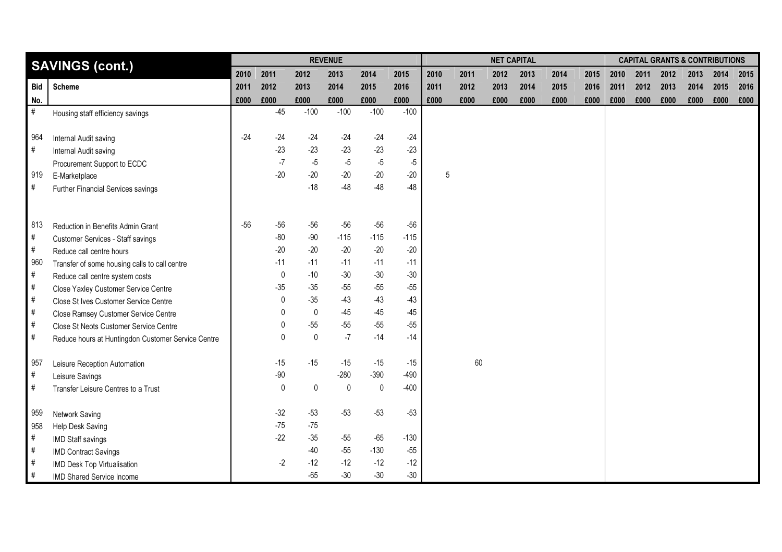|            | <b>SAVINGS (cont.)</b>                             |       |              |             | <b>REVENUE</b> |             |        |      |      |      | <b>NET CAPITAL</b> |      |      |      |      |      | <b>CAPITAL GRANTS &amp; CONTRIBUTIONS</b> |      |      |
|------------|----------------------------------------------------|-------|--------------|-------------|----------------|-------------|--------|------|------|------|--------------------|------|------|------|------|------|-------------------------------------------|------|------|
|            |                                                    | 2010  | 2011         | 2012        | 2013           | 2014        | 2015   | 2010 | 2011 | 2012 | 2013               | 2014 | 2015 | 2010 | 2011 | 2012 | 2013                                      | 2014 | 2015 |
| <b>Bid</b> | <b>Scheme</b>                                      | 2011  | 2012         | 2013        | 2014           | 2015        | 2016   | 2011 | 2012 | 2013 | 2014               | 2015 | 2016 | 2011 | 2012 | 2013 | 2014                                      | 2015 | 2016 |
| No.        |                                                    | £000  | £000         | £000        | £000           | £000        | £000   | £000 | £000 | £000 | £000               | £000 | £000 | £000 | £000 | £000 | £000                                      | £000 | £000 |
| $\#$       | Housing staff efficiency savings                   |       | $-45$        | $-100$      | $-100$         | $-100$      | $-100$ |      |      |      |                    |      |      |      |      |      |                                           |      |      |
|            |                                                    |       |              |             |                |             |        |      |      |      |                    |      |      |      |      |      |                                           |      |      |
| 964        | Internal Audit saving                              | $-24$ | $-24$        | $-24$       | $-24$          | $-24$       | $-24$  |      |      |      |                    |      |      |      |      |      |                                           |      |      |
| $\#$       | Internal Audit saving                              |       | $-23$        | $-23$       | $-23$          | $-23$       | $-23$  |      |      |      |                    |      |      |      |      |      |                                           |      |      |
|            | Procurement Support to ECDC                        |       | $-7$         | $-5$        | $-5$           | $-5$        | $-5$   |      |      |      |                    |      |      |      |      |      |                                           |      |      |
| 919        | E-Marketplace                                      |       | $-20$        | $-20$       | $-20$          | $-20$       | $-20$  | 5    |      |      |                    |      |      |      |      |      |                                           |      |      |
| #          | Further Financial Services savings                 |       |              | $-18$       | $-48$          | $-48$       | $-48$  |      |      |      |                    |      |      |      |      |      |                                           |      |      |
|            |                                                    |       |              |             |                |             |        |      |      |      |                    |      |      |      |      |      |                                           |      |      |
|            |                                                    |       |              |             |                |             |        |      |      |      |                    |      |      |      |      |      |                                           |      |      |
| 813        | Reduction in Benefits Admin Grant                  | $-56$ | $-56$        | $-56$       | $-56$          | $-56$       | $-56$  |      |      |      |                    |      |      |      |      |      |                                           |      |      |
| $\#$       | <b>Customer Services - Staff savings</b>           |       | $-80$        | $-90$       | $-115$         | $-115$      | $-115$ |      |      |      |                    |      |      |      |      |      |                                           |      |      |
| #          | Reduce call centre hours                           |       | $-20$        | $-20$       | $-20$          | $-20$       | $-20$  |      |      |      |                    |      |      |      |      |      |                                           |      |      |
| 960        | Transfer of some housing calls to call centre      |       | $-11$        | $-11$       | $-11$          | $-11$       | $-11$  |      |      |      |                    |      |      |      |      |      |                                           |      |      |
| $\#$       | Reduce call centre system costs                    |       | $\mathbf 0$  | $-10$       | $-30$          | $-30$       | $-30$  |      |      |      |                    |      |      |      |      |      |                                           |      |      |
| $\#$       | Close Yaxley Customer Service Centre               |       | $-35$        | $-35$       | $-55$          | $-55$       | $-55$  |      |      |      |                    |      |      |      |      |      |                                           |      |      |
| $\#$       | Close St Ives Customer Service Centre              |       | $\mathbf 0$  | $-35$       | $-43$          | $-43$       | $-43$  |      |      |      |                    |      |      |      |      |      |                                           |      |      |
| $\#$       | Close Ramsey Customer Service Centre               |       | $\mathbf{0}$ | $\mathbf 0$ | $-45$          | $-45$       | $-45$  |      |      |      |                    |      |      |      |      |      |                                           |      |      |
| $\#$       | Close St Neots Customer Service Centre             |       | 0            | $-55$       | $-55$          | $-55$       | $-55$  |      |      |      |                    |      |      |      |      |      |                                           |      |      |
| $\#$       | Reduce hours at Huntingdon Customer Service Centre |       | $\mathbf{0}$ | $\mathbf 0$ | $-7$           | $-14$       | $-14$  |      |      |      |                    |      |      |      |      |      |                                           |      |      |
|            |                                                    |       | $-15$        | $-15$       | $-15$          | $-15$       | $-15$  |      | 60   |      |                    |      |      |      |      |      |                                           |      |      |
| 957        | Leisure Reception Automation                       |       | $-90$        |             | $-280$         | $-390$      | $-490$ |      |      |      |                    |      |      |      |      |      |                                           |      |      |
| #          | Leisure Savings                                    |       |              |             | $\mathbf 0$    | $\mathbf 0$ | $-400$ |      |      |      |                    |      |      |      |      |      |                                           |      |      |
| $\#$       | Transfer Leisure Centres to a Trust                |       | $\mathbf 0$  | $\mathbf 0$ |                |             |        |      |      |      |                    |      |      |      |      |      |                                           |      |      |
| 959        | Network Saving                                     |       | $-32$        | $-53$       | $-53$          | $-53$       | $-53$  |      |      |      |                    |      |      |      |      |      |                                           |      |      |
| 958        | Help Desk Saving                                   |       | $-75$        | $-75$       |                |             |        |      |      |      |                    |      |      |      |      |      |                                           |      |      |
| $\#$       | IMD Staff savings                                  |       | $-22$        | $-35$       | $-55$          | $-65$       | $-130$ |      |      |      |                    |      |      |      |      |      |                                           |      |      |
| $\#$       | <b>IMD Contract Savings</b>                        |       |              | $-40$       | $-55$          | $-130$      | $-55$  |      |      |      |                    |      |      |      |      |      |                                           |      |      |
| #          | IMD Desk Top Virtualisation                        |       | $-2$         | $-12$       | $-12$          | $-12$       | $-12$  |      |      |      |                    |      |      |      |      |      |                                           |      |      |
| $\#$       | IMD Shared Service Income                          |       |              | $-65$       | $-30$          | $-30$       | $-30$  |      |      |      |                    |      |      |      |      |      |                                           |      |      |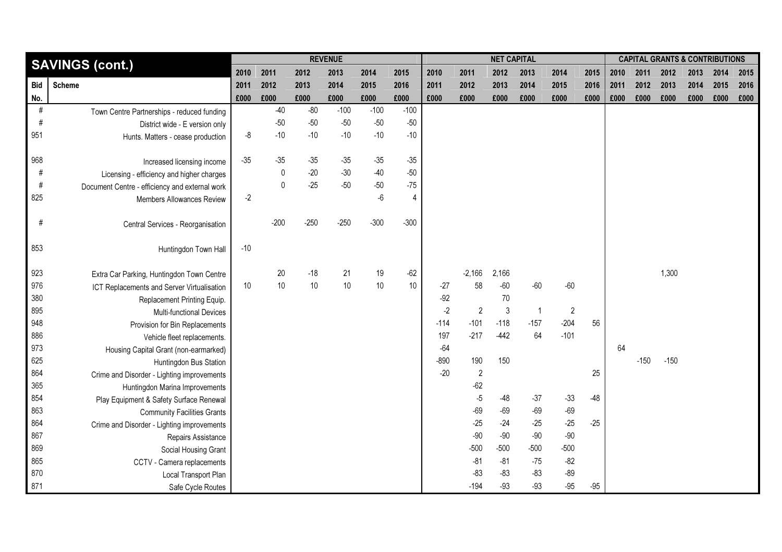|            | <b>SAVINGS (cont.)</b>                         |       |              |        | <b>REVENUE</b> |        |        |        |                | <b>NET CAPITAL</b> |                |                |       |      |        | <b>CAPITAL GRANTS &amp; CONTRIBUTIONS</b> |      |      |      |
|------------|------------------------------------------------|-------|--------------|--------|----------------|--------|--------|--------|----------------|--------------------|----------------|----------------|-------|------|--------|-------------------------------------------|------|------|------|
|            |                                                | 2010  | 2011         | 2012   | 2013           | 2014   | 2015   | 2010   | 2011           | 2012               | 2013           | 2014           | 2015  | 2010 | 2011   | 2012                                      | 2013 | 2014 | 2015 |
| <b>Bid</b> | <b>Scheme</b>                                  | 2011  | 2012         | 2013   | 2014           | 2015   | 2016   | 2011   | 2012           | 2013               | 2014           | 2015           | 2016  | 2011 | 2012   | 2013                                      | 2014 | 2015 | 2016 |
| No.        |                                                | £000  | £000         | £000   | £000           | £000   | £000   | £000   | £000           | £000               | £000           | £000           | £000  | £000 | £000   | £000                                      | £000 | £000 | £000 |
| #          | Town Centre Partnerships - reduced funding     |       | $-40$        | $-80$  | $-100$         | $-100$ | $-100$ |        |                |                    |                |                |       |      |        |                                           |      |      |      |
| $\#$       | District wide - E version only                 |       | $-50$        | $-50$  | $-50$          | $-50$  | $-50$  |        |                |                    |                |                |       |      |        |                                           |      |      |      |
| 951        | Hunts. Matters - cease production              | -8    | $-10$        | $-10$  | $-10$          | $-10$  | $-10$  |        |                |                    |                |                |       |      |        |                                           |      |      |      |
|            |                                                |       |              |        |                |        |        |        |                |                    |                |                |       |      |        |                                           |      |      |      |
| 968        | Increased licensing income                     | $-35$ | $-35$        | $-35$  | $-35$          | $-35$  | $-35$  |        |                |                    |                |                |       |      |        |                                           |      |      |      |
| $\#$       | Licensing - efficiency and higher charges      |       | $\mathbf 0$  | $-20$  | $-30$          | $-40$  | $-50$  |        |                |                    |                |                |       |      |        |                                           |      |      |      |
| $\#$       | Document Centre - efficiency and external work |       | $\mathsf{0}$ | $-25$  | $-50$          | $-50$  | $-75$  |        |                |                    |                |                |       |      |        |                                           |      |      |      |
| 825        | Members Allowances Review                      | $-2$  |              |        |                | $-6$   | 4      |        |                |                    |                |                |       |      |        |                                           |      |      |      |
|            |                                                |       |              |        |                |        |        |        |                |                    |                |                |       |      |        |                                           |      |      |      |
| #          | Central Services - Reorganisation              |       | $-200$       | $-250$ | $-250$         | $-300$ | $-300$ |        |                |                    |                |                |       |      |        |                                           |      |      |      |
|            |                                                |       |              |        |                |        |        |        |                |                    |                |                |       |      |        |                                           |      |      |      |
| 853        | Huntingdon Town Hall                           | $-10$ |              |        |                |        |        |        |                |                    |                |                |       |      |        |                                           |      |      |      |
|            |                                                |       |              |        |                |        |        |        |                |                    |                |                |       |      |        |                                           |      |      |      |
| 923        | Extra Car Parking, Huntingdon Town Centre      |       | 20           | $-18$  | 21             | 19     | $-62$  |        | $-2,166$       | 2,166              |                |                |       |      |        | 1,300                                     |      |      |      |
| 976        | ICT Replacements and Server Virtualisation     | 10    | $10$         | 10     | 10             | $10$   | 10     | $-27$  | 58             | $-60$              | $-60$          | $-60$          |       |      |        |                                           |      |      |      |
| 380        | Replacement Printing Equip.                    |       |              |        |                |        |        | $-92$  |                | 70                 |                |                |       |      |        |                                           |      |      |      |
| 895        | Multi-functional Devices                       |       |              |        |                |        |        | $-2$   | $\overline{2}$ | $\mathfrak{Z}$     | $\mathbf{1}$   | $\overline{2}$ |       |      |        |                                           |      |      |      |
| 948        | Provision for Bin Replacements                 |       |              |        |                |        |        | $-114$ | $-101$         | $-118$             | $-157$         | $-204$         | 56    |      |        |                                           |      |      |      |
| 886        | Vehicle fleet replacements.                    |       |              |        |                |        |        | 197    | $-217$         | $-442$             | 64             | $-101$         |       |      |        |                                           |      |      |      |
| 973        | Housing Capital Grant (non-earmarked)          |       |              |        |                |        |        | $-64$  |                |                    |                |                |       | 64   |        |                                           |      |      |      |
| 625        | Huntingdon Bus Station                         |       |              |        |                |        |        | $-890$ | 190            | 150                |                |                |       |      | $-150$ | $-150$                                    |      |      |      |
| 864        | Crime and Disorder - Lighting improvements     |       |              |        |                |        |        | $-20$  | $\overline{c}$ |                    |                |                | 25    |      |        |                                           |      |      |      |
| 365        | Huntingdon Marina Improvements                 |       |              |        |                |        |        |        | $-62$          |                    |                |                |       |      |        |                                           |      |      |      |
| 854        | Play Equipment & Safety Surface Renewal        |       |              |        |                |        |        |        | $-5$           | $-48$<br>$-69$     | $-37$          | $-33$          | $-48$ |      |        |                                           |      |      |      |
| 863        | <b>Community Facilities Grants</b>             |       |              |        |                |        |        |        | $-69$          | $-24$              | $-69$          | $-69$          |       |      |        |                                           |      |      |      |
| 864        | Crime and Disorder - Lighting improvements     |       |              |        |                |        |        |        | $-25$<br>$-90$ | $-90$              | $-25$<br>$-90$ | $-25$<br>$-90$ | $-25$ |      |        |                                           |      |      |      |
| 867        | Repairs Assistance                             |       |              |        |                |        |        |        | $-500$         | $-500$             | $-500$         | $-500$         |       |      |        |                                           |      |      |      |
| 869        | Social Housing Grant                           |       |              |        |                |        |        |        | $-81$          | $-81$              |                |                |       |      |        |                                           |      |      |      |
| 865        | CCTV - Camera replacements                     |       |              |        |                |        |        |        |                | $-83$              | $-75$          | $-82$          |       |      |        |                                           |      |      |      |
| 870        | Local Transport Plan                           |       |              |        |                |        |        |        | $-83$          |                    | $-83$          | $-89$          |       |      |        |                                           |      |      |      |
| 871        | Safe Cycle Routes                              |       |              |        |                |        |        |        | $-194$         | $-93$              | $-93$          | $-95$          | $-95$ |      |        |                                           |      |      |      |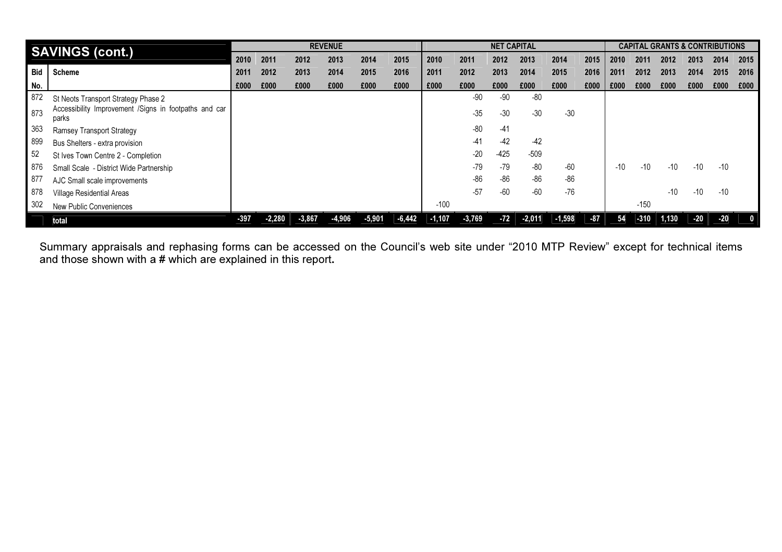|            | <b>SAVINGS (cont.)</b>                                         |        |          |          | <b>REVENUE</b> |          |          |          |          | <b>NET CAPITAL</b> |          |          |       |       |        | <b>CAPITAL GRANTS &amp; CONTRIBUTIONS</b> |       |       |          |
|------------|----------------------------------------------------------------|--------|----------|----------|----------------|----------|----------|----------|----------|--------------------|----------|----------|-------|-------|--------|-------------------------------------------|-------|-------|----------|
|            |                                                                | 2010   | 2011     | 2012     | 2013           | 2014     | 2015     | 2010     | 2011     | 2012               | 2013     | 2014     | 2015  | 2010  | 2011   | 2012                                      | 2013  | 2014  | 2015     |
| <b>Bid</b> | <b>Scheme</b>                                                  | 2011   | 2012     | 2013     | 2014           | 2015     | 2016     | 2011     | 2012     | 2013               | 2014     | 2015     | 2016  | 2011  | 2012   | 2013                                      | 2014  | 2015  | 2016     |
| No.        |                                                                | £000   | £000     | £000     | £000           | £000     | £000     | £000     | £000     | £000               | £000     | £000     | £000  | £000  | £000   | £000                                      | £000  | £000  | £000     |
| 872        | St Neots Transport Strategy Phase 2                            |        |          |          |                |          |          |          | -90      | -90                | $-80$    |          |       |       |        |                                           |       |       |          |
| 873        | Accessibility Improvement /Signs in footpaths and car<br>parks |        |          |          |                |          |          |          | $-35$    | $-30$              | $-30$    | $-30$    |       |       |        |                                           |       |       |          |
| 363        | Ramsey Transport Strategy                                      |        |          |          |                |          |          |          | $-80$    | $-41$              |          |          |       |       |        |                                           |       |       |          |
| 899        | Bus Shelters - extra provision                                 |        |          |          |                |          |          |          | $-41$    | $-42$              | $-42$    |          |       |       |        |                                           |       |       |          |
| 52         | St Ives Town Centre 2 - Completion                             |        |          |          |                |          |          |          | $-20$    | $-425$             | $-509$   |          |       |       |        |                                           |       |       |          |
| 876        | Small Scale - District Wide Partnership                        |        |          |          |                |          |          |          | $-79$    | $-79$              | $-80$    | -60      |       | $-10$ | $-10$  | $-10$                                     | -10   | $-10$ |          |
| 877        | AJC Small scale improvements                                   |        |          |          |                |          |          |          | $-86$    | $-86$              | $-86$    | $-86$    |       |       |        |                                           |       |       |          |
| 878        | Village Residential Areas                                      |        |          |          |                |          |          |          | $-57$    | $-60$              | $-60$    | $-76$    |       |       |        | $-10$                                     | $-10$ | $-10$ |          |
| 302        | New Public Conveniences                                        |        |          |          |                |          |          | $-100$   |          |                    |          |          |       |       | $-150$ |                                           |       |       |          |
|            | total                                                          | $-397$ | $-2.280$ | $-3,867$ | $-4,906$       | $-5,901$ | $-6,442$ | $-1,107$ | $-3,769$ | $-72$              | $-2,011$ | $-1,598$ | $-87$ | 54    | $-310$ | 1,130                                     | $-20$ | $-20$ | $\bf{0}$ |

Summary appraisals and rephasing forms can be accessed on the Council's web site under "2010 MTP Review" except for technical items<br>and those shown with a # which are explained in this report.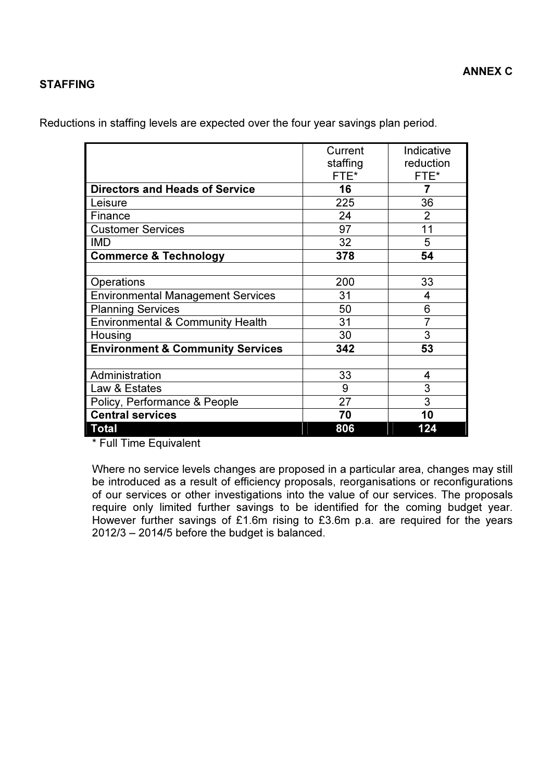## STAFFING

Reductions in staffing levels are expected over the four year savings plan period.

|                                             | Current  | Indicative |
|---------------------------------------------|----------|------------|
|                                             | staffing | reduction  |
|                                             | FTE*     | FTE*       |
| <b>Directors and Heads of Service</b>       | 16       | 7          |
| Leisure                                     | 225      | 36         |
| Finance                                     | 24       | 2          |
| <b>Customer Services</b>                    | 97       | 11         |
| <b>IMD</b>                                  | 32       | 5          |
| <b>Commerce &amp; Technology</b>            | 378      | 54         |
|                                             |          |            |
| Operations                                  | 200      | 33         |
| <b>Environmental Management Services</b>    | 31       | 4          |
| <b>Planning Services</b>                    | 50       | 6          |
| <b>Environmental &amp; Community Health</b> | 31       |            |
| Housing                                     | 30       | 3          |
| <b>Environment &amp; Community Services</b> | 342      | 53         |
|                                             |          |            |
| Administration                              | 33       | 4          |
| Law & Estates                               | 9        | 3          |
| Policy, Performance & People                | 27       | 3          |
| <b>Central services</b>                     | 70       | 10         |
| <b>Total</b>                                | 806      | 124        |

\* Full Time Equivalent

Where no service levels changes are proposed in a particular area, changes may still be introduced as a result of efficiency proposals, reorganisations or reconfigurations of our services or other investigations into the value of our services. The proposals require only limited further savings to be identified for the coming budget year. However further savings of £1.6m rising to £3.6m p.a. are required for the years 2012/3 – 2014/5 before the budget is balanced.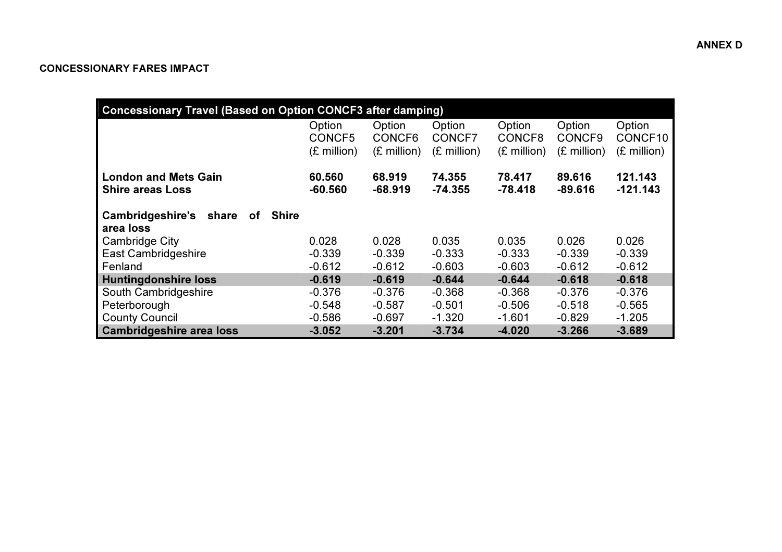## CONCESSIONARY FARES IMPACT

| <b>Concessionary Travel (Based on Option CONCF3 after damping)</b>  |                                           |                                           |                                           |                                           |                                           |                                            |
|---------------------------------------------------------------------|-------------------------------------------|-------------------------------------------|-------------------------------------------|-------------------------------------------|-------------------------------------------|--------------------------------------------|
|                                                                     | Option<br>CONCF5<br>$(E \text{ million})$ | Option<br>CONCF6<br>$(E \text{ million})$ | Option<br>CONCF7<br>$(E \text{ million})$ | Option<br>CONCF8<br>$(E \text{ million})$ | Option<br>CONCF9<br>$(E \text{ million})$ | Option<br>CONCF10<br>$(E \text{ million})$ |
| <b>London and Mets Gain</b><br><b>Shire areas Loss</b>              | 60.560<br>$-60.560$                       | 68.919<br>$-68.919$                       | 74.355<br>$-74.355$                       | 78.417<br>$-78.418$                       | 89,616<br>$-89.616$                       | 121.143<br>$-121.143$                      |
| <b>Cambridgeshire's</b><br><b>Shire</b><br>share<br>оf<br>area loss |                                           |                                           |                                           |                                           |                                           |                                            |
| <b>Cambridge City</b>                                               | 0.028                                     | 0.028                                     | 0.035                                     | 0.035                                     | 0.026                                     | 0.026                                      |
| <b>East Cambridgeshire</b>                                          | $-0.339$                                  | $-0.339$                                  | $-0.333$                                  | $-0.333$                                  | $-0.339$                                  | $-0.339$                                   |
| Fenland                                                             | $-0.612$                                  | $-0.612$                                  | $-0.603$                                  | $-0.603$                                  | $-0.612$                                  | $-0.612$                                   |
| <b>Huntingdonshire loss</b>                                         | $-0.619$                                  | $-0.619$                                  | $-0.644$                                  | $-0.644$                                  | $-0.618$                                  | $-0.618$                                   |
| South Cambridgeshire                                                | $-0.376$                                  | $-0.376$                                  | $-0.368$                                  | $-0.368$                                  | $-0.376$                                  | $-0.376$                                   |
| Peterborough                                                        | $-0.548$                                  | $-0.587$                                  | $-0.501$                                  | $-0.506$                                  | $-0.518$                                  | $-0.565$                                   |
| <b>County Council</b>                                               | $-0.586$                                  | $-0.697$                                  | $-1.320$                                  | $-1.601$                                  | $-0.829$                                  | $-1.205$                                   |
| <b>Cambridgeshire area loss</b>                                     | $-3.052$                                  | $-3.201$                                  | $-3.734$                                  | $-4.020$                                  | $-3.266$                                  | $-3.689$                                   |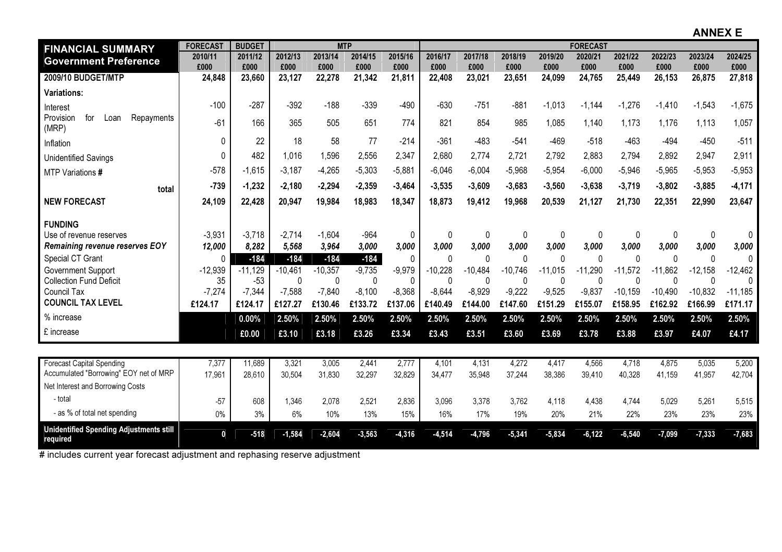ANNEX E

| <b>FINANCIAL SUMMARY</b>                                   | <b>FORECAST</b> | <b>BUDGET</b> |           | <b>MTP</b> |          |              |              |           |             |           | <b>FORECAST</b> |             |           |              |              |
|------------------------------------------------------------|-----------------|---------------|-----------|------------|----------|--------------|--------------|-----------|-------------|-----------|-----------------|-------------|-----------|--------------|--------------|
| <b>Government Preference</b>                               | 2010/11         | 2011/12       | 2012/13   | 2013/14    | 2014/15  | 2015/16      | 2016/17      | 2017/18   | 2018/19     | 2019/20   | 2020/21         | 2021/22     | 2022/23   | 2023/24      | 2024/25      |
|                                                            | £000            | £000          | £000      | £000       | £000     | £000         | £000         | £000      | £000        | £000      | £000            | £000        | £000      | £000         | £000         |
| 2009/10 BUDGET/MTP                                         | 24,848          | 23,660        | 23,127    | 22,278     | 21,342   | 21,811       | 22,408       | 23,021    | 23,651      | 24,099    | 24,765          | 25,449      | 26,153    | 26,875       | 27,818       |
| <b>Variations:</b>                                         |                 |               |           |            |          |              |              |           |             |           |                 |             |           |              |              |
| Interest                                                   | $-100$          | $-287$        | $-392$    | $-188$     | $-339$   | $-490$       | $-630$       | $-751$    | $-881$      | $-1,013$  | $-1,144$        | $-1,276$    | $-1,410$  | $-1,543$     | $-1,675$     |
| Provision<br>Repayments<br>for<br>Loan<br>(MRP)            | $-61$           | 166           | 365       | 505        | 651      | 774          | 821          | 854       | 985         | 1,085     | 1,140           | 1,173       | 1,176     | 1,113        | 1,057        |
| Inflation                                                  | $\mathbf{0}$    | 22            | 18        | 58         | 77       | $-214$       | $-361$       | $-483$    | $-541$      | $-469$    | $-518$          | $-463$      | $-494$    | $-450$       | $-511$       |
| <b>Unidentified Savings</b>                                | $\Omega$        | 482           | 1,016     | 1,596      | 2,556    | 2,347        | 2,680        | 2,774     | 2,721       | 2,792     | 2,883           | 2,794       | 2,892     | 2,947        | 2,911        |
| MTP Variations #                                           | $-578$          | $-1.615$      | $-3.187$  | $-4,265$   | $-5,303$ | $-5,881$     | $-6,046$     | $-6,004$  | $-5,968$    | $-5,954$  | $-6,000$        | $-5,946$    | $-5,965$  | $-5,953$     | $-5,953$     |
| total                                                      | $-739$          | $-1,232$      | $-2,180$  | $-2,294$   | $-2,359$ | $-3,464$     | $-3,535$     | $-3,609$  | $-3,683$    | $-3,560$  | $-3,638$        | $-3,719$    | $-3,802$  | $-3,885$     | $-4,171$     |
| <b>NEW FORECAST</b>                                        | 24,109          | 22,428        | 20,947    | 19,984     | 18,983   | 18,347       | 18,873       | 19,412    | 19,968      | 20,539    | 21,127          | 21,730      | 22,351    | 22,990       | 23,647       |
| <b>FUNDING</b>                                             |                 |               |           |            |          |              |              |           |             |           |                 |             |           |              |              |
| Use of revenue reserves                                    | $-3,931$        | $-3,718$      | $-2,714$  | $-1,604$   | $-964$   | 0            | $\mathbf{0}$ | 0         | 0           | 0         | $\pmb{0}$       | 0           | 0         | $\mathbf 0$  | $\mathbf{0}$ |
| <b>Remaining revenue reserves EOY</b>                      | 12,000          | 8,282         | 5,568     | 3,964      | 3,000    | 3,000        | 3,000        | 3,000     | 3,000       | 3,000     | 3,000           | 3,000       | 3,000     | 3,000        | 3,000        |
| Special CT Grant                                           | 0               | $-184$        | $-184$    | $-184$     | $-184$   | $\mathbf{0}$ | $\mathbf{0}$ | 0         | $\mathbf 0$ | $\Omega$  | 0               | $\mathbf 0$ | 0         | $\mathbf{0}$ | 0            |
| Government Support                                         | $-12,939$       | $-11,129$     | $-10,461$ | $-10,357$  | $-9,735$ | $-9,979$     | $-10,228$    | $-10,484$ | $-10,746$   | $-11,015$ | $-11,290$       | $-11,572$   | $-11,862$ | $-12,158$    | $-12,462$    |
| <b>Collection Fund Deficit</b>                             | 35              | $-53$         | 0         | 0          | $\Omega$ | $\mathbf 0$  | $\mathbf 0$  | $\pmb{0}$ | 0           | $\Omega$  | 0               | $\mathbf 0$ | $\Omega$  | $\mathbf{0}$ | $\mathbf{0}$ |
| <b>Council Tax</b>                                         | $-7,274$        | $-7,344$      | $-7,588$  | $-7,840$   | $-8,100$ | $-8,368$     | $-8,644$     | $-8,929$  | $-9,222$    | $-9,525$  | $-9,837$        | $-10,159$   | $-10,490$ | $-10,832$    | $-11,185$    |
| <b>COUNCIL TAX LEVEL</b>                                   | £124.17         | £124.17       | £127.27   | £130.46    | £133.72  | £137.06      | £140.49      | £144.00   | £147.60     | £151.29   | £155.07         | £158.95     | £162.92   | £166.99      | £171.17      |
| % increase                                                 |                 | 0.00%         | 2.50%     | 2.50%      | 2.50%    | 2.50%        | 2.50%        | 2.50%     | 2.50%       | 2.50%     | 2.50%           | 2.50%       | 2.50%     | 2.50%        | 2.50%        |
| £ increase                                                 |                 | £0.00         | £3.10     | £3.18      | £3.26    | £3.34        | £3.43        | £3.51     | £3.60       | £3.69     | £3.78           | £3.88       | £3.97     | £4.07        | £4.17        |
|                                                            |                 |               |           |            |          |              |              |           |             |           |                 |             |           |              |              |
| <b>Forecast Capital Spending</b>                           | 7,377           | 11,689        | 3,321     | 3,005      | 2,441    | 2,777        | 4,101        | 4,131     | 4,272       | 4,417     | 4,566           | 4,718       | 4,875     | 5,035        | 5,200        |
| Accumulated "Borrowing" EOY net of MRP                     | 17,961          | 28,610        | 30,504    | 31,830     | 32,297   | 32,829       | 34,477       | 35,948    | 37,244      | 38,386    | 39,410          | 40,328      | 41,159    | 41,957       | 42,704       |
| Net Interest and Borrowing Costs                           |                 |               |           |            |          |              |              |           |             |           |                 |             |           |              |              |
| - total                                                    | $-57$           | 608           | 1,346     | 2,078      | 2,521    | 2,836        | 3,096        | 3,378     | 3,762       | 4.118     | 4.438           | 4.744       | 5,029     | 5.261        | 5,515        |
| - as % of total net spending                               | $0\%$           | 3%            | 6%        | 10%        | 13%      | 15%          | 16%          | 17%       | 19%         | 20%       | 21%             | 22%         | 23%       | 23%          | 23%          |
| <b>Unidentified Spending Adjustments still</b><br>required | $\mathbf 0$     | $-518$        | $-1,584$  | $-2,604$   | $-3,563$ | $-4,316$     | $-4,514$     | $-4,796$  | $-5,341$    | $-5,834$  | $-6, 122$       | $-6,540$    | $-7,099$  | $-7,333$     | $-7,683$     |

# includes current year forecast adjustment and rephasing reserve adjustment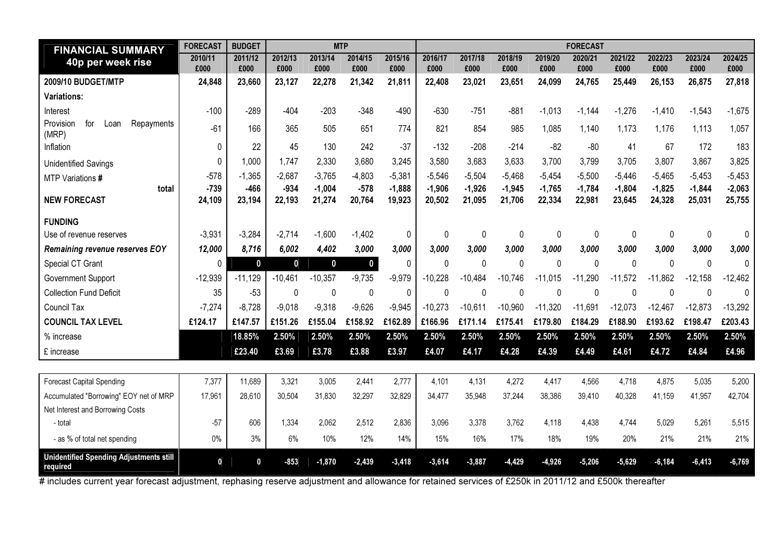| <b>FINANCIAL SUMMARY</b>                                   | <b>FORECAST</b>  | <b>BUDGET</b>    |                  |                    | <b>MTP</b>       |                    | <b>FORECAST</b>    |                    |                    |                    |                    |                    |                    |                    |                    |  |
|------------------------------------------------------------|------------------|------------------|------------------|--------------------|------------------|--------------------|--------------------|--------------------|--------------------|--------------------|--------------------|--------------------|--------------------|--------------------|--------------------|--|
| 40p per week rise                                          | 2010/11<br>£000  | 2011/12<br>£000  | 2012/13<br>£000  | 2013/14<br>£000    | 2014/15<br>£000  | 2015/16<br>£000    | 2016/17<br>£000    | 2017/18<br>£000    | 2018/19<br>£000    | 2019/20<br>£000    | 2020/21<br>£000    | 2021/22<br>£000    | 2022/23<br>£000    | 2023/24<br>£000    | 2024/25<br>£000    |  |
| 2009/10 BUDGET/MTP                                         | 24,848           | 23,660           | 23,127           | 22,278             | 21,342           | 21,811             | 22,408             | 23,021             | 23,651             | 24,099             | 24,765             | 25,449             | 26,153             | 26,875             | 27,818             |  |
| <b>Variations:</b>                                         |                  |                  |                  |                    |                  |                    |                    |                    |                    |                    |                    |                    |                    |                    |                    |  |
| Interest                                                   | $-100$           | $-289$           | $-404$           | $-203$             | $-348$           | $-490$             | $-630$             | $-751$             | $-881$             | $-1,013$           | $-1.144$           | $-1.276$           | $-1,410$           | $-1,543$           | $-1,675$           |  |
| Repayments<br>Provision<br>for<br>Loan<br>(MRP)            | $-61$            | 166              | 365              | 505                | 651              | 774                | 821                | 854                | 985                | 1,085              | 1,140              | 1,173              | 1,176              | 1,113              | 1,057              |  |
| Inflation                                                  | $\mathbf{0}$     | 22               | 45               | 130                | 242              | $-37$              | $-132$             | $-208$             | $-214$             | $-82$              | $-80$              | 41                 | 67                 | 172                | 183                |  |
| <b>Unidentified Savings</b>                                | $\Omega$         | 1,000            | 1,747            | 2,330              | 3,680            | 3,245              | 3,580              | 3,683              | 3.633              | 3,700              | 3,799              | 3,705              | 3,807              | 3,867              | 3,825              |  |
| MTP Variations #                                           | $-578$           | $-1,365$         | $-2,687$         | $-3,765$           | $-4,803$         | $-5,381$           | $-5,546$           | $-5,504$           | $-5.468$           | $-5,454$           | $-5,500$           | $-5,446$           | $-5,465$           | $-5,453$           | $-5,453$           |  |
| total<br><b>NEW FORECAST</b>                               | $-739$<br>24,109 | $-466$<br>23,194 | $-934$<br>22,193 | $-1,004$<br>21,274 | $-578$<br>20,764 | $-1,888$<br>19,923 | $-1,906$<br>20,502 | $-1,926$<br>21,095 | $-1,945$<br>21,706 | $-1,765$<br>22,334 | $-1,784$<br>22,981 | $-1,804$<br>23,645 | $-1,825$<br>24,328 | $-1,844$<br>25,031 | $-2,063$<br>25,755 |  |
| <b>FUNDING</b>                                             |                  |                  |                  |                    |                  |                    |                    |                    |                    |                    |                    |                    |                    |                    |                    |  |
| Use of revenue reserves                                    | $-3,931$         | $-3,284$         | $-2,714$         | $-1,600$           | $-1,402$         | 0                  | $\mathbf{0}$       | 0                  | 0                  | 0                  | 0                  | 0                  | 0                  | 0                  | 0                  |  |
| Remaining revenue reserves EOY                             | 12,000           | 8,716            | 6,002            | 4,402              | 3,000            | 3,000              | 3,000              | 3,000              | 3,000              | 3,000              | 3,000              | 3,000              | 3,000              | 3,000              | 3,000              |  |
| Special CT Grant                                           | $\Omega$         | $\mathbf 0$      | $\mathbf{0}$     | $\mathbf 0$        | $\mathbf 0$      | $\mathbf{0}$       | $\mathbf 0$        | 0                  | $\mathbf{0}$       | $\Omega$           | 0                  | $\mathbf 0$        | $\Omega$           | $\mathbf 0$        | 0                  |  |
| <b>Government Support</b>                                  | $-12,939$        | $-11,129$        | $-10,461$        | $-10,357$          | $-9,735$         | $-9,979$           | $-10,228$          | $-10,484$          | $-10,746$          | $-11,015$          | $-11,290$          | $-11.572$          | $-11,862$          | $-12,158$          | $-12,462$          |  |
| <b>Collection Fund Deficit</b>                             | 35               | $-53$            | $\Omega$         | $\mathbf{0}$       | $\mathbf 0$      | $\mathbf 0$        | $\mathbf 0$        | 0                  | $\mathbf{0}$       | $\Omega$           | 0                  | $\Omega$           | $\mathbf{0}$       | 0                  | 0                  |  |
| Council Tax                                                | $-7,274$         | $-8,728$         | $-9,018$         | $-9,318$           | $-9,626$         | $-9,945$           | $-10,273$          | $-10,611$          | $-10,960$          | $-11,320$          | $-11,691$          | $-12,073$          | $-12,467$          | $-12,873$          | $-13,292$          |  |
| <b>COUNCIL TAX LEVEL</b>                                   | £124.17          | £147.57          | £151.26          | £155.04            | £158.92          | £162.89            | £166.96            | £171.14            | £175.41            | £179.80            | £184.29            | £188.90            | £193.62            | £198.47            | £203.43            |  |
| % increase                                                 |                  | 18.85%           | 2.50%            | 2.50%              | 2.50%            | 2.50%              | 2.50%              | 2.50%              | 2.50%              | 2.50%              | 2.50%              | 2.50%              | 2.50%              | 2.50%              | 2.50%              |  |
| £ increase                                                 |                  | £23.40           | £3.69            | £3.78              | £3.88            | £3.97              | £4.07              | £4.17              | £4.28              | £4.39              | £4.49              | £4.61              | £4.72              | £4.84              | £4.96              |  |
|                                                            |                  |                  |                  |                    |                  |                    |                    |                    |                    |                    |                    |                    |                    |                    |                    |  |
| <b>Forecast Capital Spending</b>                           | 7,377            | 11,689           | 3,321            | 3,005              | 2,441            | 2,777              | 4,101              | 4,131              | 4,272              | 4,417              | 4,566              | 4,718              | 4,875              | 5,035              | 5,200              |  |
| Accumulated "Borrowing" EOY net of MRP                     | 17,961           | 28,610           | 30,504           | 31,830             | 32,297           | 32,829             | 34,477             | 35,948             | 37,244             | 38,386             | 39,410             | 40,328             | 41,159             | 41,957             | 42,704             |  |
| Net Interest and Borrowing Costs                           |                  |                  |                  |                    |                  |                    |                    |                    |                    |                    |                    |                    |                    |                    |                    |  |
| - total                                                    | $-57$            | 606              | 1,334            | 2,062              | 2,512            | 2,836              | 3,096              | 3,378              | 3,762              | 4,118              | 4,438              | 4,744              | 5,029              | 5,261              | 5,515              |  |
| - as % of total net spending                               | 0%               | 3%               | 6%               | 10%                | 12%              | 14%                | 15%                | 16%                | 17%                | 18%                | 19%                | 20%                | 21%                | 21%                | 21%                |  |
| <b>Unidentified Spending Adjustments still</b><br>required | $\mathbf{0}$     | $\mathbf{0}$     | $-853$           | $-1,870$           | $-2,439$         | $-3,418$           | $-3,614$           | $-3,887$           | $-4,429$           | $-4,926$           | $-5,206$           | $-5,629$           | $-6,184$           | $-6,413$           | $-6,769$           |  |

# includes current year forecast adjustment, rephasing reserve adjustment and allowance for retained services of £250k in 2011/12 and £500k thereafter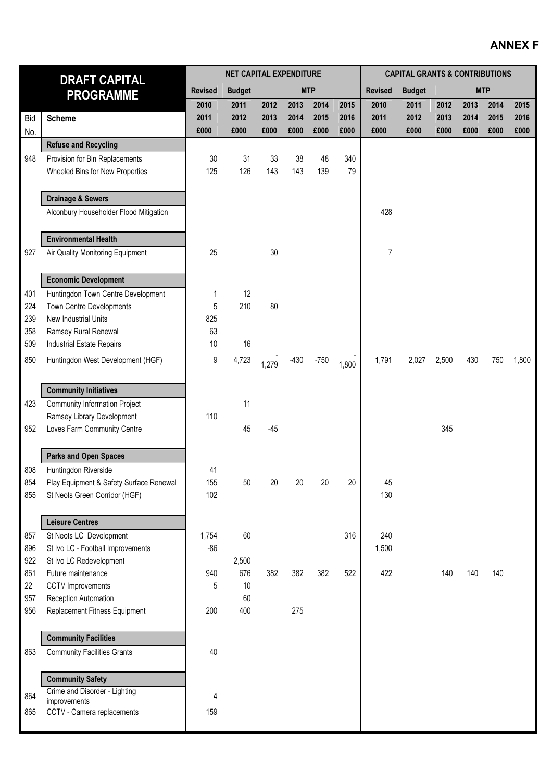# ANNEX F

| <b>DRAFT CAPITAL</b> |                                                           |                | <b>NET CAPITAL EXPENDITURE</b> |       |        |            | <b>CAPITAL GRANTS &amp; CONTRIBUTIONS</b> |                |               |       |      |            |       |
|----------------------|-----------------------------------------------------------|----------------|--------------------------------|-------|--------|------------|-------------------------------------------|----------------|---------------|-------|------|------------|-------|
|                      | <b>PROGRAMME</b>                                          | <b>Revised</b> | <b>Budget</b>                  |       |        | <b>MTP</b> |                                           | <b>Revised</b> | <b>Budget</b> |       |      | <b>MTP</b> |       |
|                      |                                                           | 2010           | 2011                           | 2012  | 2013   | 2014       | 2015                                      | 2010           | 2011          | 2012  | 2013 | 2014       | 2015  |
| <b>Bid</b>           | <b>Scheme</b>                                             | 2011           | 2012                           | 2013  | 2014   | 2015       | 2016                                      | 2011           | 2012          | 2013  | 2014 | 2015       | 2016  |
| No.                  |                                                           | £000           | £000                           | £000  | £000   | £000       | £000                                      | £000           | £000          | £000  | £000 | £000       | £000  |
|                      | <b>Refuse and Recycling</b>                               |                |                                |       |        |            |                                           |                |               |       |      |            |       |
| 948                  | Provision for Bin Replacements                            | 30             | 31                             | 33    | 38     | 48         | 340                                       |                |               |       |      |            |       |
|                      | Wheeled Bins for New Properties                           | 125            | 126                            | 143   | 143    | 139        | 79                                        |                |               |       |      |            |       |
|                      |                                                           |                |                                |       |        |            |                                           |                |               |       |      |            |       |
|                      | <b>Drainage &amp; Sewers</b>                              |                |                                |       |        |            |                                           |                |               |       |      |            |       |
|                      | Alconbury Householder Flood Mitigation                    |                |                                |       |        |            |                                           | 428            |               |       |      |            |       |
|                      | <b>Environmental Health</b>                               |                |                                |       |        |            |                                           |                |               |       |      |            |       |
| 927                  | Air Quality Monitoring Equipment                          | 25             |                                | 30    |        |            |                                           | 7              |               |       |      |            |       |
|                      |                                                           |                |                                |       |        |            |                                           |                |               |       |      |            |       |
|                      | <b>Economic Development</b>                               |                |                                |       |        |            |                                           |                |               |       |      |            |       |
| 401                  | Huntingdon Town Centre Development                        | 1              | 12                             |       |        |            |                                           |                |               |       |      |            |       |
| 224                  | <b>Town Centre Developments</b>                           | 5              | 210                            | 80    |        |            |                                           |                |               |       |      |            |       |
| 239                  | New Industrial Units                                      | 825            |                                |       |        |            |                                           |                |               |       |      |            |       |
| 358                  | Ramsey Rural Renewal                                      | 63             |                                |       |        |            |                                           |                |               |       |      |            |       |
| 509                  | Industrial Estate Repairs                                 | 10             | 16                             |       |        |            |                                           |                |               |       |      |            |       |
| 850                  | Huntingdon West Development (HGF)                         | 9              | 4,723                          | 1,279 | $-430$ | $-750$     | 1,800                                     | 1,791          | 2,027         | 2,500 | 430  | 750        | 1,800 |
|                      |                                                           |                |                                |       |        |            |                                           |                |               |       |      |            |       |
|                      | <b>Community Initiatives</b>                              |                |                                |       |        |            |                                           |                |               |       |      |            |       |
| 423                  | <b>Community Information Project</b>                      | 110            | 11                             |       |        |            |                                           |                |               |       |      |            |       |
| 952                  | Ramsey Library Development<br>Loves Farm Community Centre |                | 45                             | $-45$ |        |            |                                           |                |               | 345   |      |            |       |
|                      |                                                           |                |                                |       |        |            |                                           |                |               |       |      |            |       |
|                      | <b>Parks and Open Spaces</b>                              |                |                                |       |        |            |                                           |                |               |       |      |            |       |
| 808                  | Huntingdon Riverside                                      | 41             |                                |       |        |            |                                           |                |               |       |      |            |       |
| 854                  | Play Equipment & Safety Surface Renewal                   | 155            | 50                             | 20    | 20     | 20         | $20\,$                                    | 45             |               |       |      |            |       |
| 855                  | St Neots Green Corridor (HGF)                             | 102            |                                |       |        |            |                                           | 130            |               |       |      |            |       |
|                      | <b>Leisure Centres</b>                                    |                |                                |       |        |            |                                           |                |               |       |      |            |       |
| 857                  | St Neots LC Development                                   | 1,754          | 60                             |       |        |            | 316                                       | 240            |               |       |      |            |       |
| 896                  | St Ivo LC - Football Improvements                         | $-86$          |                                |       |        |            |                                           | 1,500          |               |       |      |            |       |
| 922                  | St Ivo LC Redevelopment                                   |                | 2,500                          |       |        |            |                                           |                |               |       |      |            |       |
| 861                  | Future maintenance                                        | 940            | 676                            | 382   | 382    | 382        | 522                                       | 422            |               | 140   | 140  | 140        |       |
| 22                   | <b>CCTV</b> Improvements                                  | 5              | 10                             |       |        |            |                                           |                |               |       |      |            |       |
| 957                  | Reception Automation                                      |                | 60                             |       |        |            |                                           |                |               |       |      |            |       |
| 956                  | Replacement Fitness Equipment                             | 200            | 400                            |       | 275    |            |                                           |                |               |       |      |            |       |
|                      |                                                           |                |                                |       |        |            |                                           |                |               |       |      |            |       |
|                      | <b>Community Facilities</b>                               |                |                                |       |        |            |                                           |                |               |       |      |            |       |
| 863                  | <b>Community Facilities Grants</b>                        | 40             |                                |       |        |            |                                           |                |               |       |      |            |       |
|                      | <b>Community Safety</b>                                   |                |                                |       |        |            |                                           |                |               |       |      |            |       |
|                      | Crime and Disorder - Lighting                             |                |                                |       |        |            |                                           |                |               |       |      |            |       |
| 864                  | improvements                                              | 4              |                                |       |        |            |                                           |                |               |       |      |            |       |
| 865                  | CCTV - Camera replacements                                | 159            |                                |       |        |            |                                           |                |               |       |      |            |       |
|                      |                                                           |                |                                |       |        |            |                                           |                |               |       |      |            |       |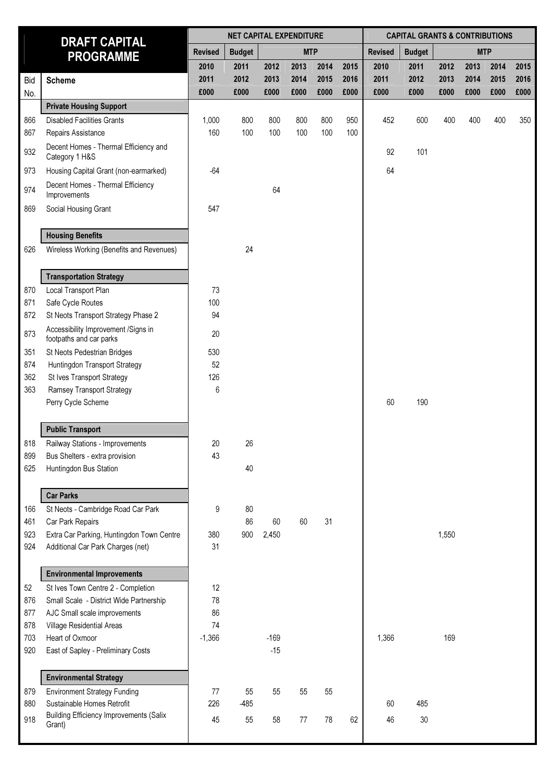| <b>DRAFT CAPITAL</b> |                                                                |                | <b>NET CAPITAL EXPENDITURE</b> |        |            |      | <b>CAPITAL GRANTS &amp; CONTRIBUTIONS</b> |                |               |            |      |      |      |
|----------------------|----------------------------------------------------------------|----------------|--------------------------------|--------|------------|------|-------------------------------------------|----------------|---------------|------------|------|------|------|
|                      | <b>PROGRAMME</b>                                               | <b>Revised</b> | <b>Budget</b>                  |        | <b>MTP</b> |      |                                           | <b>Revised</b> | <b>Budget</b> | <b>MTP</b> |      |      |      |
|                      |                                                                | 2010           | 2011                           | 2012   | 2013       | 2014 | 2015                                      | 2010           | 2011          | 2012       | 2013 | 2014 | 2015 |
| Bid                  | <b>Scheme</b>                                                  | 2011           | 2012                           | 2013   | 2014       | 2015 | 2016                                      | 2011           | 2012          | 2013       | 2014 | 2015 | 2016 |
| No.                  |                                                                | £000           | £000                           | £000   | £000       | £000 | £000                                      | £000           | £000          | £000       | £000 | £000 | £000 |
|                      | <b>Private Housing Support</b>                                 |                |                                |        |            |      |                                           |                |               |            |      |      |      |
| 866                  | <b>Disabled Facilities Grants</b>                              | 1,000          | 800                            | 800    | 800        | 800  | 950                                       | 452            | 600           | 400        | 400  | 400  | 350  |
| 867                  | Repairs Assistance                                             | 160            | 100                            | 100    | 100        | 100  | 100                                       |                |               |            |      |      |      |
| 932                  | Decent Homes - Thermal Efficiency and<br>Category 1 H&S        |                |                                |        |            |      |                                           | 92             | 101           |            |      |      |      |
| 973                  | Housing Capital Grant (non-earmarked)                          | $-64$          |                                |        |            |      |                                           | 64             |               |            |      |      |      |
| 974                  | Decent Homes - Thermal Efficiency<br>Improvements              |                |                                | 64     |            |      |                                           |                |               |            |      |      |      |
| 869                  | Social Housing Grant                                           | 547            |                                |        |            |      |                                           |                |               |            |      |      |      |
|                      | <b>Housing Benefits</b>                                        |                |                                |        |            |      |                                           |                |               |            |      |      |      |
| 626                  | Wireless Working (Benefits and Revenues)                       |                | 24                             |        |            |      |                                           |                |               |            |      |      |      |
|                      | <b>Transportation Strategy</b>                                 |                |                                |        |            |      |                                           |                |               |            |      |      |      |
| 870                  | Local Transport Plan                                           | 73             |                                |        |            |      |                                           |                |               |            |      |      |      |
| 871                  | Safe Cycle Routes                                              | 100            |                                |        |            |      |                                           |                |               |            |      |      |      |
| 872                  | St Neots Transport Strategy Phase 2                            | 94             |                                |        |            |      |                                           |                |               |            |      |      |      |
| 873                  | Accessibility Improvement /Signs in<br>footpaths and car parks | 20             |                                |        |            |      |                                           |                |               |            |      |      |      |
| 351                  | St Neots Pedestrian Bridges                                    | 530            |                                |        |            |      |                                           |                |               |            |      |      |      |
| 874                  | Huntingdon Transport Strategy                                  | 52             |                                |        |            |      |                                           |                |               |            |      |      |      |
| 362                  | St Ives Transport Strategy                                     | 126            |                                |        |            |      |                                           |                |               |            |      |      |      |
| 363                  | Ramsey Transport Strategy<br>Perry Cycle Scheme                | 6              |                                |        |            |      |                                           | 60             | 190           |            |      |      |      |
|                      | <b>Public Transport</b>                                        |                |                                |        |            |      |                                           |                |               |            |      |      |      |
| 818                  | Railway Stations - Improvements                                | 20             | 26                             |        |            |      |                                           |                |               |            |      |      |      |
| 899                  | Bus Shelters - extra provision                                 | 43             |                                |        |            |      |                                           |                |               |            |      |      |      |
| 625                  | Huntingdon Bus Station                                         |                | 40                             |        |            |      |                                           |                |               |            |      |      |      |
|                      | <b>Car Parks</b>                                               |                |                                |        |            |      |                                           |                |               |            |      |      |      |
| 166                  | St Neots - Cambridge Road Car Park                             | 9              | 80                             |        |            |      |                                           |                |               |            |      |      |      |
| 461                  | Car Park Repairs                                               |                | 86                             | 60     | 60         | 31   |                                           |                |               |            |      |      |      |
| 923                  | Extra Car Parking, Huntingdon Town Centre                      | 380            | 900                            | 2,450  |            |      |                                           |                |               | 1,550      |      |      |      |
| 924                  | Additional Car Park Charges (net)                              | 31             |                                |        |            |      |                                           |                |               |            |      |      |      |
|                      | <b>Environmental Improvements</b>                              |                |                                |        |            |      |                                           |                |               |            |      |      |      |
| 52                   | St Ives Town Centre 2 - Completion                             | 12             |                                |        |            |      |                                           |                |               |            |      |      |      |
| 876                  | Small Scale - District Wide Partnership                        | 78             |                                |        |            |      |                                           |                |               |            |      |      |      |
| 877                  | AJC Small scale improvements                                   | 86             |                                |        |            |      |                                           |                |               |            |      |      |      |
| 878                  | Village Residential Areas                                      | 74             |                                |        |            |      |                                           |                |               |            |      |      |      |
| 703                  | Heart of Oxmoor                                                | $-1,366$       |                                | $-169$ |            |      |                                           | 1,366          |               | 169        |      |      |      |
| 920                  | East of Sapley - Preliminary Costs                             |                |                                | $-15$  |            |      |                                           |                |               |            |      |      |      |
|                      | <b>Environmental Strategy</b>                                  |                |                                |        |            |      |                                           |                |               |            |      |      |      |
| 879                  | <b>Environment Strategy Funding</b>                            | 77             | 55                             | 55     | 55         | 55   |                                           |                |               |            |      |      |      |
| 880                  | Sustainable Homes Retrofit                                     | 226            | $-485$                         |        |            |      |                                           | 60             | 485           |            |      |      |      |
| 918                  | <b>Building Efficiency Improvements (Salix</b><br>Grant)       | 45             | 55                             | 58     | 77         | 78   | 62                                        | 46             | $30\,$        |            |      |      |      |